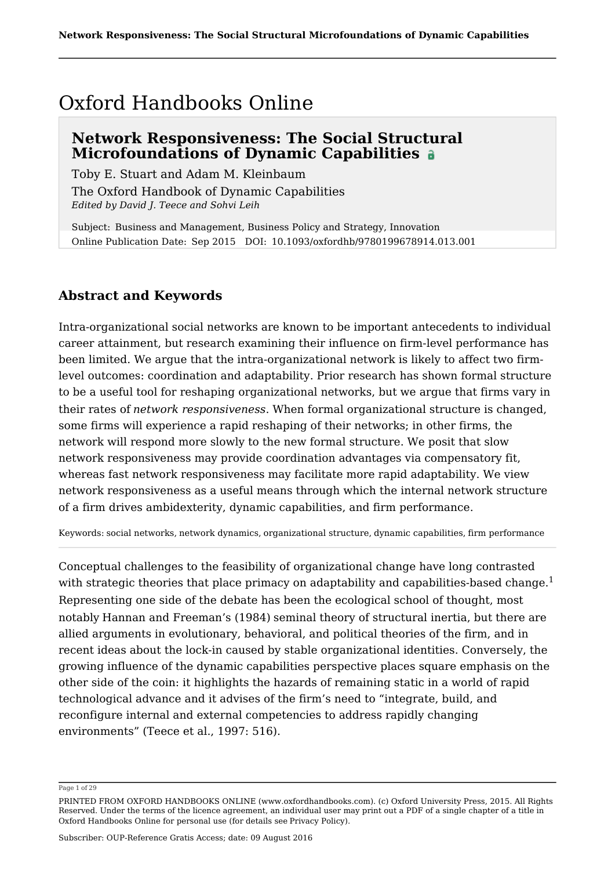## Oxford Handbooks Online

### **Network Responsiveness: The Social Structural Microfoundations of Dynamic Capabilities**

Toby E. Stuart and Adam M. Kleinbaum The Oxford Handbook of Dynamic Capabilities *Edited by David J. Teece and Sohvi Leih*

Subject: Business and Management, Business Policy and Strategy, Innovation Online Publication Date: Sep 2015 DOI: 10.1093/oxfordhb/9780199678914.013.001

### **Abstract and Keywords**

Intra-organizational social networks are known to be important antecedents to individual career attainment, but research examining their influence on firm-level performance has been limited. We argue that the intra-organizational network is likely to affect two firmlevel outcomes: coordination and adaptability. Prior research has shown formal structure to be a useful tool for reshaping organizational networks, but we argue that firms vary in their rates of *network responsiveness*. When formal organizational structure is changed, some firms will experience a rapid reshaping of their networks; in other firms, the network will respond more slowly to the new formal structure. We posit that slow network responsiveness may provide coordination advantages via compensatory fit, whereas fast network responsiveness may facilitate more rapid adaptability. We view network responsiveness as a useful means through which the internal network structure of a firm drives ambidexterity, dynamic capabilities, and firm performance.

Keywords: social networks, network dynamics, organizational structure, dynamic capabilities, firm performance

Conceptual challenges to the feasibility of organizational change have long contrasted with strategic theories that place primacy on adaptability and capabilities-based change.<sup>1</sup> Representing one side of the debate has been the ecological school of thought, most notably Hannan and Freeman's (1984) seminal theory of structural inertia, but there are allied arguments in evolutionary, behavioral, and political theories of the firm, and in recent ideas about the lock-in caused by stable organizational identities. Conversely, the growing influence of the dynamic capabilities perspective places square emphasis on the other side of the coin: it highlights the hazards of remaining static in a world of rapid technological advance and it advises of the firm's need to "integrate, build, and reconfigure internal and external competencies to address rapidly changing environments" (Teece et al., 1997: 516). 1

Page 1 of 29

PRINTED FROM OXFORD HANDBOOKS ONLINE (www.oxfordhandbooks.com). (c) Oxford University Press, 2015. All Rights Reserved. Under the terms of the licence agreement, an individual user may print out a PDF of a single chapter of a title in Oxford Handbooks Online for personal use (for details see Privacy Policy).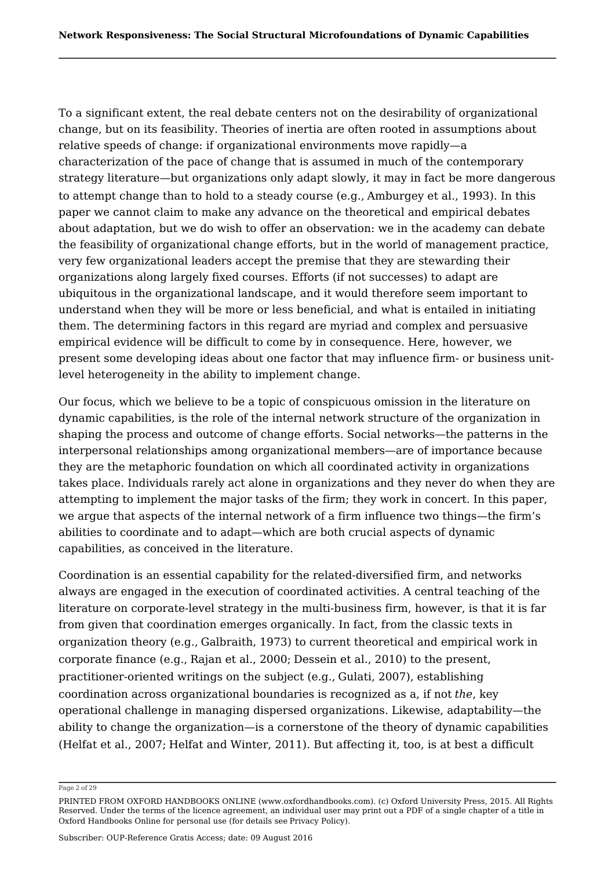To a significant extent, the real debate centers not on the desirability of organizational change, but on its feasibility. Theories of inertia are often rooted in assumptions about relative speeds of change: if organizational environments move rapidly—a characterization of the pace of change that is assumed in much of the contemporary strategy literature—but organizations only adapt slowly, it may in fact be more dangerous to attempt change than to hold to a steady course (e.g., Amburgey et al., 1993). In this paper we cannot claim to make any advance on the theoretical and empirical debates about adaptation, but we do wish to offer an observation: we in the academy can debate the feasibility of organizational change efforts, but in the world of management practice, very few organizational leaders accept the premise that they are stewarding their organizations along largely fixed courses. Efforts (if not successes) to adapt are ubiquitous in the organizational landscape, and it would therefore seem important to understand when they will be more or less beneficial, and what is entailed in initiating them. The determining factors in this regard are myriad and complex and persuasive empirical evidence will be difficult to come by in consequence. Here, however, we present some developing ideas about one factor that may influence firm- or business unitlevel heterogeneity in the ability to implement change.

Our focus, which we believe to be a topic of conspicuous omission in the literature on dynamic capabilities, is the role of the internal network structure of the organization in shaping the process and outcome of change efforts. Social networks—the patterns in the interpersonal relationships among organizational members—are of importance because they are the metaphoric foundation on which all coordinated activity in organizations takes place. Individuals rarely act alone in organizations and they never do when they are attempting to implement the major tasks of the firm; they work in concert. In this paper, we argue that aspects of the internal network of a firm influence two things—the firm's abilities to coordinate and to adapt—which are both crucial aspects of dynamic capabilities, as conceived in the literature.

Coordination is an essential capability for the related-diversified firm, and networks always are engaged in the execution of coordinated activities. A central teaching of the literature on corporate-level strategy in the multi-business firm, however, is that it is far from given that coordination emerges organically. In fact, from the classic texts in organization theory (e.g., Galbraith, 1973) to current theoretical and empirical work in corporate finance (e.g., Rajan et al., 2000; Dessein et al., 2010) to the present, practitioner-oriented writings on the subject (e.g., Gulati, 2007), establishing coordination across organizational boundaries is recognized as a, if not *the*, key operational challenge in managing dispersed organizations. Likewise, adaptability—the ability to change the organization—is a cornerstone of the theory of dynamic capabilities (Helfat et al., 2007; Helfat and Winter, 2011). But affecting it, too, is at best a difficult

Page 2 of 29

PRINTED FROM OXFORD HANDBOOKS ONLINE (www.oxfordhandbooks.com). (c) Oxford University Press, 2015. All Rights Reserved. Under the terms of the licence agreement, an individual user may print out a PDF of a single chapter of a title in Oxford Handbooks Online for personal use (for details see Privacy Policy).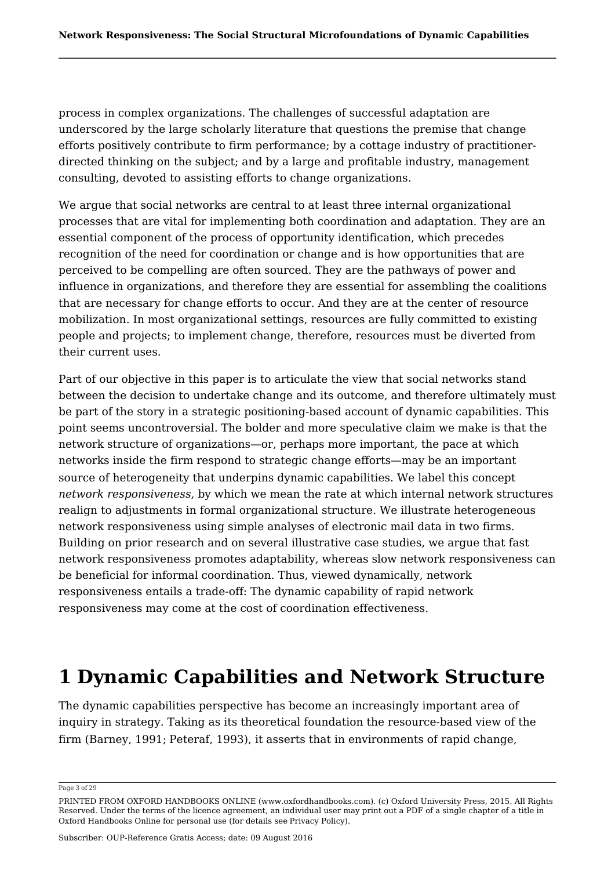process in complex organizations. The challenges of successful adaptation are underscored by the large scholarly literature that questions the premise that change efforts positively contribute to firm performance; by a cottage industry of practitionerdirected thinking on the subject; and by a large and profitable industry, management consulting, devoted to assisting efforts to change organizations.

We argue that social networks are central to at least three internal organizational processes that are vital for implementing both coordination and adaptation. They are an essential component of the process of opportunity identification, which precedes recognition of the need for coordination or change and is how opportunities that are perceived to be compelling are often sourced. They are the pathways of power and influence in organizations, and therefore they are essential for assembling the coalitions that are necessary for change efforts to occur. And they are at the center of resource mobilization. In most organizational settings, resources are fully committed to existing people and projects; to implement change, therefore, resources must be diverted from their current uses.

Part of our objective in this paper is to articulate the view that social networks stand between the decision to undertake change and its outcome, and therefore ultimately must be part of the story in a strategic positioning-based account of dynamic capabilities. This point seems uncontroversial. The bolder and more speculative claim we make is that the network structure of organizations—or, perhaps more important, the pace at which networks inside the firm respond to strategic change efforts—may be an important source of heterogeneity that underpins dynamic capabilities. We label this concept *network responsiveness*, by which we mean the rate at which internal network structures realign to adjustments in formal organizational structure. We illustrate heterogeneous network responsiveness using simple analyses of electronic mail data in two firms. Building on prior research and on several illustrative case studies, we argue that fast network responsiveness promotes adaptability, whereas slow network responsiveness can be beneficial for informal coordination. Thus, viewed dynamically, network responsiveness entails a trade-off: The dynamic capability of rapid network responsiveness may come at the cost of coordination effectiveness.

### **1 Dynamic Capabilities and Network Structure**

The dynamic capabilities perspective has become an increasingly important area of inquiry in strategy. Taking as its theoretical foundation the resource-based view of the firm (Barney, 1991; Peteraf, 1993), it asserts that in environments of rapid change,

#### Page 3 of 29

PRINTED FROM OXFORD HANDBOOKS ONLINE (www.oxfordhandbooks.com). (c) Oxford University Press, 2015. All Rights Reserved. Under the terms of the licence agreement, an individual user may print out a PDF of a single chapter of a title in Oxford Handbooks Online for personal use (for details see Privacy Policy).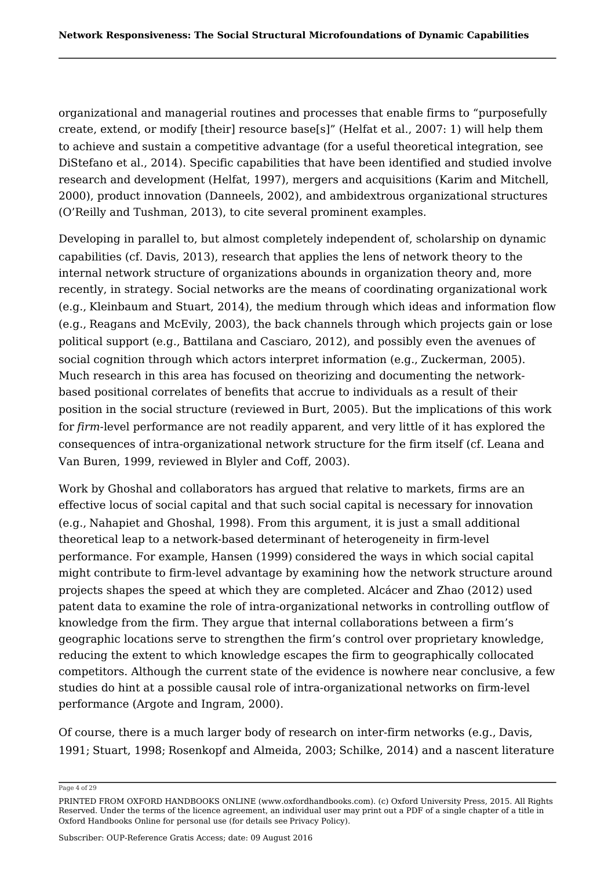organizational and managerial routines and processes that enable firms to "purposefully create, extend, or modify [their] resource base[s]" (Helfat et al., 2007: 1) will help them to achieve and sustain a competitive advantage (for a useful theoretical integration, see DiStefano et al., 2014). Specific capabilities that have been identified and studied involve research and development (Helfat, 1997), mergers and acquisitions (Karim and Mitchell, 2000), product innovation (Danneels, 2002), and ambidextrous organizational structures (O'Reilly and Tushman, 2013), to cite several prominent examples.

Developing in parallel to, but almost completely independent of, scholarship on dynamic capabilities (cf. Davis, 2013), research that applies the lens of network theory to the internal network structure of organizations abounds in organization theory and, more recently, in strategy. Social networks are the means of coordinating organizational work (e.g., Kleinbaum and Stuart, 2014), the medium through which ideas and information flow (e.g., Reagans and McEvily, 2003), the back channels through which projects gain or lose political support (e.g., Battilana and Casciaro, 2012), and possibly even the avenues of social cognition through which actors interpret information (e.g., Zuckerman, 2005). Much research in this area has focused on theorizing and documenting the networkbased positional correlates of benefits that accrue to individuals as a result of their position in the social structure (reviewed in Burt, 2005). But the implications of this work for *firm*-level performance are not readily apparent, and very little of it has explored the consequences of intra-organizational network structure for the firm itself (cf. Leana and Van Buren, 1999, reviewed in Blyler and Coff, 2003).

Work by Ghoshal and collaborators has argued that relative to markets, firms are an effective locus of social capital and that such social capital is necessary for innovation (e.g., Nahapiet and Ghoshal, 1998). From this argument, it is just a small additional theoretical leap to a network-based determinant of heterogeneity in firm-level performance. For example, Hansen (1999) considered the ways in which social capital might contribute to firm-level advantage by examining how the network structure around projects shapes the speed at which they are completed. Alcácer and Zhao (2012) used patent data to examine the role of intra-organizational networks in controlling outflow of knowledge from the firm. They argue that internal collaborations between a firm's geographic locations serve to strengthen the firm's control over proprietary knowledge, reducing the extent to which knowledge escapes the firm to geographically collocated competitors. Although the current state of the evidence is nowhere near conclusive, a few studies do hint at a possible causal role of intra-organizational networks on firm-level performance (Argote and Ingram, 2000).

Of course, there is a much larger body of research on inter-firm networks (e.g., Davis, 1991; Stuart, 1998; Rosenkopf and Almeida, 2003; Schilke, 2014) and a nascent literature

Page 4 of 29

PRINTED FROM OXFORD HANDBOOKS ONLINE (www.oxfordhandbooks.com). (c) Oxford University Press, 2015. All Rights Reserved. Under the terms of the licence agreement, an individual user may print out a PDF of a single chapter of a title in Oxford Handbooks Online for personal use (for details see Privacy Policy).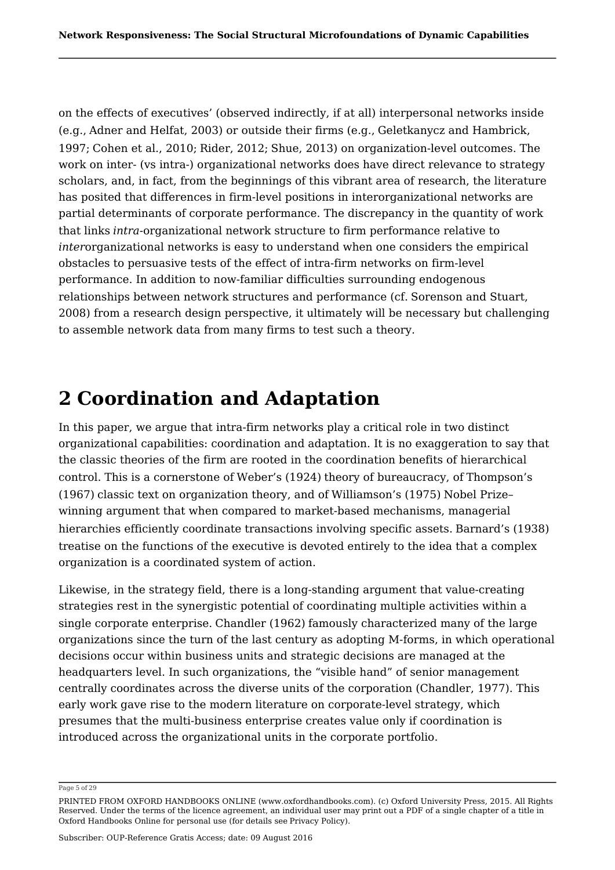on the effects of executives' (observed indirectly, if at all) interpersonal networks inside (e.g., Adner and Helfat, 2003) or outside their firms (e.g., Geletkanycz and Hambrick, 1997; Cohen et al., 2010; Rider, 2012; Shue, 2013) on organization-level outcomes. The work on inter- (vs intra-) organizational networks does have direct relevance to strategy scholars, and, in fact, from the beginnings of this vibrant area of research, the literature has posited that differences in firm-level positions in interorganizational networks are partial determinants of corporate performance. The discrepancy in the quantity of work that links *intra-*organizational network structure to firm performance relative to *inter*organizational networks is easy to understand when one considers the empirical obstacles to persuasive tests of the effect of intra-firm networks on firm-level performance. In addition to now-familiar difficulties surrounding endogenous relationships between network structures and performance (cf. Sorenson and Stuart, 2008) from a research design perspective, it ultimately will be necessary but challenging to assemble network data from many firms to test such a theory.

# **2 Coordination and Adaptation**

In this paper, we argue that intra-firm networks play a critical role in two distinct organizational capabilities: coordination and adaptation. It is no exaggeration to say that the classic theories of the firm are rooted in the coordination benefits of hierarchical control. This is a cornerstone of Weber's (1924) theory of bureaucracy, of Thompson's (1967) classic text on organization theory, and of Williamson's (1975) Nobel Prize– winning argument that when compared to market-based mechanisms, managerial hierarchies efficiently coordinate transactions involving specific assets. Barnard's (1938) treatise on the functions of the executive is devoted entirely to the idea that a complex organization is a coordinated system of action.

Likewise, in the strategy field, there is a long-standing argument that value-creating strategies rest in the synergistic potential of coordinating multiple activities within a single corporate enterprise. Chandler (1962) famously characterized many of the large organizations since the turn of the last century as adopting M-forms, in which operational decisions occur within business units and strategic decisions are managed at the headquarters level. In such organizations, the "visible hand" of senior management centrally coordinates across the diverse units of the corporation (Chandler, 1977). This early work gave rise to the modern literature on corporate-level strategy, which presumes that the multi-business enterprise creates value only if coordination is introduced across the organizational units in the corporate portfolio.

Page 5 of 29

PRINTED FROM OXFORD HANDBOOKS ONLINE (www.oxfordhandbooks.com). (c) Oxford University Press, 2015. All Rights Reserved. Under the terms of the licence agreement, an individual user may print out a PDF of a single chapter of a title in Oxford Handbooks Online for personal use (for details see Privacy Policy).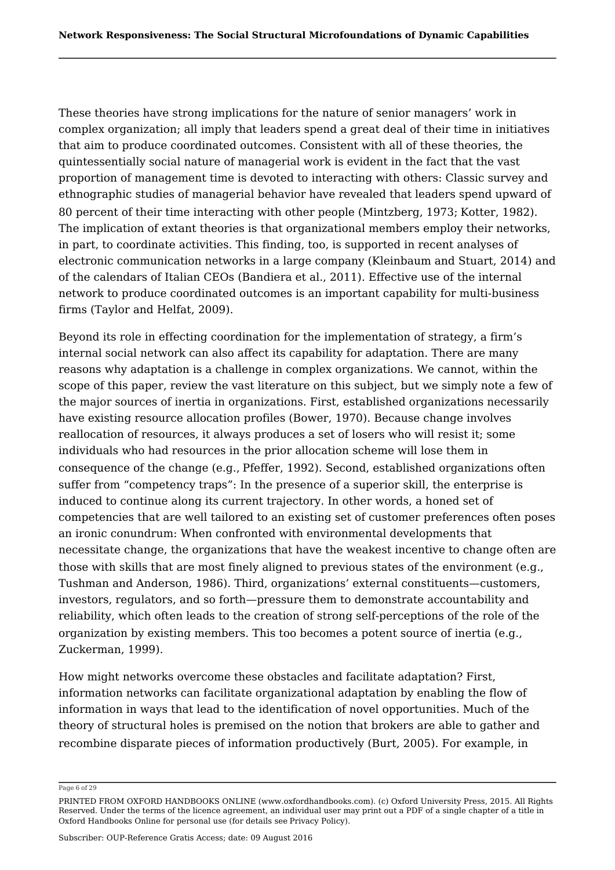These theories have strong implications for the nature of senior managers' work in complex organization; all imply that leaders spend a great deal of their time in initiatives that aim to produce coordinated outcomes. Consistent with all of these theories, the quintessentially social nature of managerial work is evident in the fact that the vast proportion of management time is devoted to interacting with others: Classic survey and ethnographic studies of managerial behavior have revealed that leaders spend upward of 80 percent of their time interacting with other people (Mintzberg, 1973; Kotter, 1982). The implication of extant theories is that organizational members employ their networks, in part, to coordinate activities. This finding, too, is supported in recent analyses of electronic communication networks in a large company (Kleinbaum and Stuart, 2014) and of the calendars of Italian CEOs (Bandiera et al., 2011). Effective use of the internal network to produce coordinated outcomes is an important capability for multi-business firms (Taylor and Helfat, 2009).

Beyond its role in effecting coordination for the implementation of strategy, a firm's internal social network can also affect its capability for adaptation. There are many reasons why adaptation is a challenge in complex organizations. We cannot, within the scope of this paper, review the vast literature on this subject, but we simply note a few of the major sources of inertia in organizations. First, established organizations necessarily have existing resource allocation profiles (Bower, 1970). Because change involves reallocation of resources, it always produces a set of losers who will resist it; some individuals who had resources in the prior allocation scheme will lose them in consequence of the change (e.g., Pfeffer, 1992). Second, established organizations often suffer from "competency traps": In the presence of a superior skill, the enterprise is induced to continue along its current trajectory. In other words, a honed set of competencies that are well tailored to an existing set of customer preferences often poses an ironic conundrum: When confronted with environmental developments that necessitate change, the organizations that have the weakest incentive to change often are those with skills that are most finely aligned to previous states of the environment (e.g., Tushman and Anderson, 1986). Third, organizations' external constituents—customers, investors, regulators, and so forth—pressure them to demonstrate accountability and reliability, which often leads to the creation of strong self-perceptions of the role of the organization by existing members. This too becomes a potent source of inertia (e.g., Zuckerman, 1999).

How might networks overcome these obstacles and facilitate adaptation? First, information networks can facilitate organizational adaptation by enabling the flow of information in ways that lead to the identification of novel opportunities. Much of the theory of structural holes is premised on the notion that brokers are able to gather and recombine disparate pieces of information productively (Burt, 2005). For example, in

Page 6 of 29

PRINTED FROM OXFORD HANDBOOKS ONLINE (www.oxfordhandbooks.com). (c) Oxford University Press, 2015. All Rights Reserved. Under the terms of the licence agreement, an individual user may print out a PDF of a single chapter of a title in Oxford Handbooks Online for personal use (for details see Privacy Policy).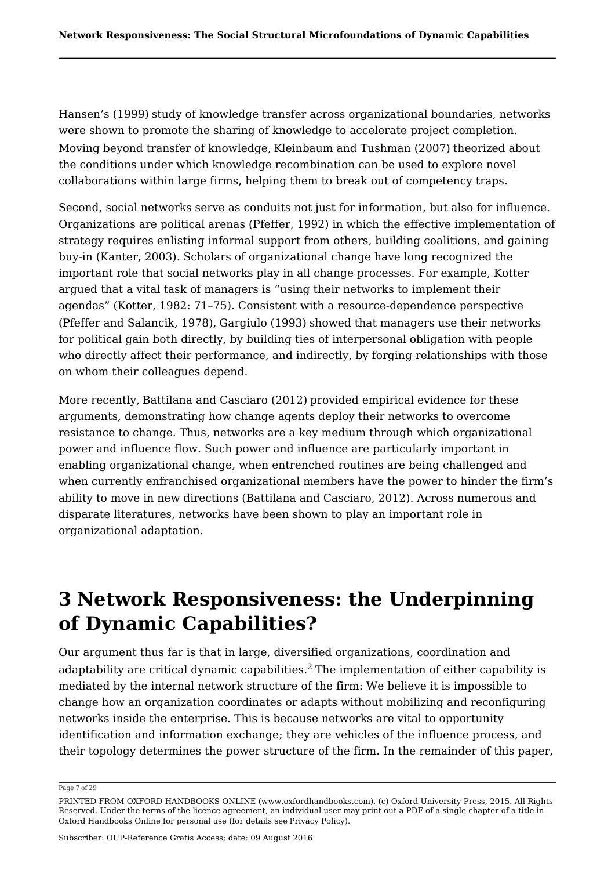Hansen's (1999) study of knowledge transfer across organizational boundaries, networks were shown to promote the sharing of knowledge to accelerate project completion. Moving beyond transfer of knowledge, Kleinbaum and Tushman (2007) theorized about the conditions under which knowledge recombination can be used to explore novel collaborations within large firms, helping them to break out of competency traps.

Second, social networks serve as conduits not just for information, but also for influence. Organizations are political arenas (Pfeffer, 1992) in which the effective implementation of strategy requires enlisting informal support from others, building coalitions, and gaining buy-in (Kanter, 2003). Scholars of organizational change have long recognized the important role that social networks play in all change processes. For example, Kotter argued that a vital task of managers is "using their networks to implement their agendas" (Kotter, 1982: 71–75). Consistent with a resource-dependence perspective (Pfeffer and Salancik, 1978), Gargiulo (1993) showed that managers use their networks for political gain both directly, by building ties of interpersonal obligation with people who directly affect their performance, and indirectly, by forging relationships with those on whom their colleagues depend.

More recently, Battilana and Casciaro (2012) provided empirical evidence for these arguments, demonstrating how change agents deploy their networks to overcome resistance to change. Thus, networks are a key medium through which organizational power and influence flow. Such power and influence are particularly important in enabling organizational change, when entrenched routines are being challenged and when currently enfranchised organizational members have the power to hinder the firm's ability to move in new directions (Battilana and Casciaro, 2012). Across numerous and disparate literatures, networks have been shown to play an important role in organizational adaptation.

# **3 Network Responsiveness: the Underpinning of Dynamic Capabilities?**

Our argument thus far is that in large, diversified organizations, coordination and adaptability are critical dynamic capabilities. $^{\rm 2}$  The implementation of either capability is mediated by the internal network structure of the firm: We believe it is impossible to change how an organization coordinates or adapts without mobilizing and reconfiguring networks inside the enterprise. This is because networks are vital to opportunity identification and information exchange; they are vehicles of the influence process, and their topology determines the power structure of the firm. In the remainder of this paper,

Page 7 of 29

PRINTED FROM OXFORD HANDBOOKS ONLINE (www.oxfordhandbooks.com). (c) Oxford University Press, 2015. All Rights Reserved. Under the terms of the licence agreement, an individual user may print out a PDF of a single chapter of a title in Oxford Handbooks Online for personal use (for details see Privacy Policy).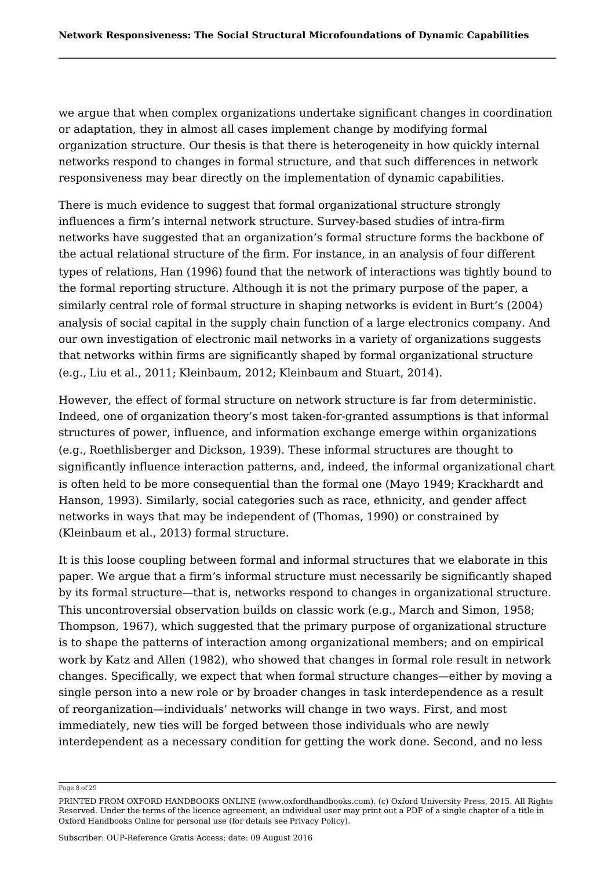we argue that when complex organizations undertake significant changes in coordination or adaptation, they in almost all cases implement change by modifying formal organization structure. Our thesis is that there is heterogeneity in how quickly internal networks respond to changes in formal structure, and that such differences in network responsiveness may bear directly on the implementation of dynamic capabilities.

There is much evidence to suggest that formal organizational structure strongly influences a firm's internal network structure. Survey-based studies of intra-firm networks have suggested that an organization's formal structure forms the backbone of the actual relational structure of the firm. For instance, in an analysis of four different types of relations, Han (1996) found that the network of interactions was tightly bound to the formal reporting structure. Although it is not the primary purpose of the paper, a similarly central role of formal structure in shaping networks is evident in Burt's (2004) analysis of social capital in the supply chain function of a large electronics company. And our own investigation of electronic mail networks in a variety of organizations suggests that networks within firms are significantly shaped by formal organizational structure (e.g., Liu et al., 2011; Kleinbaum, 2012; Kleinbaum and Stuart, 2014).

However, the effect of formal structure on network structure is far from deterministic. Indeed, one of organization theory's most taken-for-granted assumptions is that informal structures of power, influence, and information exchange emerge within organizations (e.g., Roethlisberger and Dickson, 1939). These informal structures are thought to significantly influence interaction patterns, and, indeed, the informal organizational chart is often held to be more consequential than the formal one (Mayo 1949; Krackhardt and Hanson, 1993). Similarly, social categories such as race, ethnicity, and gender affect networks in ways that may be independent of (Thomas, 1990) or constrained by (Kleinbaum et al., 2013) formal structure.

It is this loose coupling between formal and informal structures that we elaborate in this paper. We argue that a firm's informal structure must necessarily be significantly shaped by its formal structure—that is, networks respond to changes in organizational structure. This uncontroversial observation builds on classic work (e.g., March and Simon, 1958; Thompson, 1967), which suggested that the primary purpose of organizational structure is to shape the patterns of interaction among organizational members; and on empirical work by Katz and Allen (1982), who showed that changes in formal role result in network changes. Specifically, we expect that when formal structure changes—either by moving a single person into a new role or by broader changes in task interdependence as a result of reorganization—individuals' networks will change in two ways. First, and most immediately, new ties will be forged between those individuals who are newly interdependent as a necessary condition for getting the work done. Second, and no less

Page 8 of 29

PRINTED FROM OXFORD HANDBOOKS ONLINE (www.oxfordhandbooks.com). (c) Oxford University Press, 2015. All Rights Reserved. Under the terms of the licence agreement, an individual user may print out a PDF of a single chapter of a title in Oxford Handbooks Online for personal use (for details see Privacy Policy).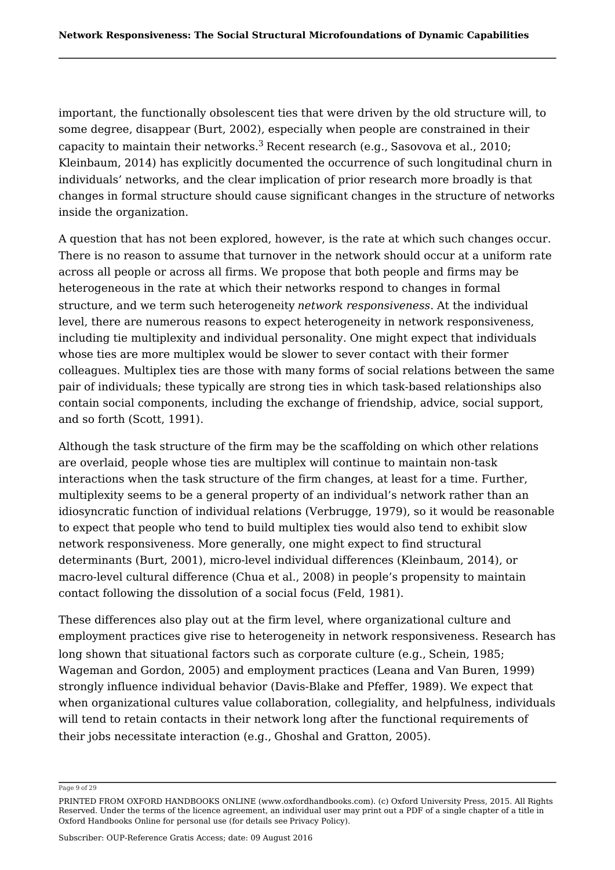important, the functionally obsolescent ties that were driven by the old structure will, to some degree, disappear (Burt, 2002), especially when people are constrained in their capacity to maintain their networks. $^3$  Recent research (e.g., Sasovova et al., 2010;  $\,$ Kleinbaum, 2014) has explicitly documented the occurrence of such longitudinal churn in individuals' networks, and the clear implication of prior research more broadly is that changes in formal structure should cause significant changes in the structure of networks inside the organization.

A question that has not been explored, however, is the rate at which such changes occur. There is no reason to assume that turnover in the network should occur at a uniform rate across all people or across all firms. We propose that both people and firms may be heterogeneous in the rate at which their networks respond to changes in formal structure, and we term such heterogeneity *network responsiveness*. At the individual level, there are numerous reasons to expect heterogeneity in network responsiveness, including tie multiplexity and individual personality. One might expect that individuals whose ties are more multiplex would be slower to sever contact with their former colleagues. Multiplex ties are those with many forms of social relations between the same pair of individuals; these typically are strong ties in which task-based relationships also contain social components, including the exchange of friendship, advice, social support, and so forth (Scott, 1991).

Although the task structure of the firm may be the scaffolding on which other relations are overlaid, people whose ties are multiplex will continue to maintain non-task interactions when the task structure of the firm changes, at least for a time. Further, multiplexity seems to be a general property of an individual's network rather than an idiosyncratic function of individual relations (Verbrugge, 1979), so it would be reasonable to expect that people who tend to build multiplex ties would also tend to exhibit slow network responsiveness. More generally, one might expect to find structural determinants (Burt, 2001), micro-level individual differences (Kleinbaum, 2014), or macro-level cultural difference (Chua et al., 2008) in people's propensity to maintain contact following the dissolution of a social focus (Feld, 1981).

These differences also play out at the firm level, where organizational culture and employment practices give rise to heterogeneity in network responsiveness. Research has long shown that situational factors such as corporate culture (e.g., Schein, 1985; Wageman and Gordon, 2005) and employment practices (Leana and Van Buren, 1999) strongly influence individual behavior (Davis-Blake and Pfeffer, 1989). We expect that when organizational cultures value collaboration, collegiality, and helpfulness, individuals will tend to retain contacts in their network long after the functional requirements of their jobs necessitate interaction (e.g., Ghoshal and Gratton, 2005).

Page 9 of 29

PRINTED FROM OXFORD HANDBOOKS ONLINE (www.oxfordhandbooks.com). (c) Oxford University Press, 2015. All Rights Reserved. Under the terms of the licence agreement, an individual user may print out a PDF of a single chapter of a title in Oxford Handbooks Online for personal use (for details see Privacy Policy).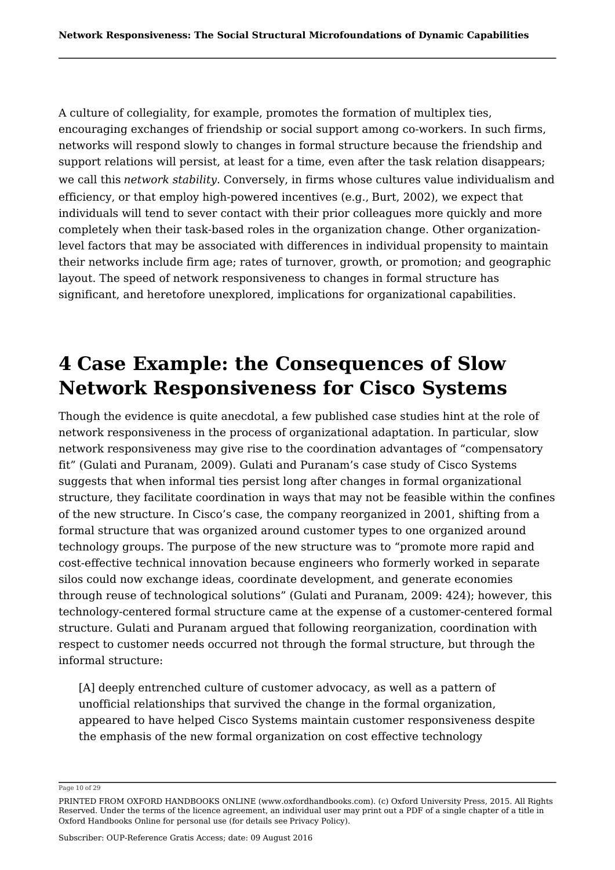A culture of collegiality, for example, promotes the formation of multiplex ties, encouraging exchanges of friendship or social support among co-workers. In such firms, networks will respond slowly to changes in formal structure because the friendship and support relations will persist, at least for a time, even after the task relation disappears; we call this *network stability*. Conversely, in firms whose cultures value individualism and efficiency, or that employ high-powered incentives (e.g., Burt, 2002), we expect that individuals will tend to sever contact with their prior colleagues more quickly and more completely when their task-based roles in the organization change. Other organizationlevel factors that may be associated with differences in individual propensity to maintain their networks include firm age; rates of turnover, growth, or promotion; and geographic layout. The speed of network responsiveness to changes in formal structure has significant, and heretofore unexplored, implications for organizational capabilities.

# **4 Case Example: the Consequences of Slow Network Responsiveness for Cisco Systems**

Though the evidence is quite anecdotal, a few published case studies hint at the role of network responsiveness in the process of organizational adaptation. In particular, slow network responsiveness may give rise to the coordination advantages of "compensatory fit" (Gulati and Puranam, 2009). Gulati and Puranam's case study of Cisco Systems suggests that when informal ties persist long after changes in formal organizational structure, they facilitate coordination in ways that may not be feasible within the confines of the new structure. In Cisco's case, the company reorganized in 2001, shifting from a formal structure that was organized around customer types to one organized around technology groups. The purpose of the new structure was to "promote more rapid and cost-effective technical innovation because engineers who formerly worked in separate silos could now exchange ideas, coordinate development, and generate economies through reuse of technological solutions" (Gulati and Puranam, 2009: 424); however, this technology-centered formal structure came at the expense of a customer-centered formal structure. Gulati and Puranam argued that following reorganization, coordination with respect to customer needs occurred not through the formal structure, but through the informal structure:

[A] deeply entrenched culture of customer advocacy, as well as a pattern of unofficial relationships that survived the change in the formal organization, appeared to have helped Cisco Systems maintain customer responsiveness despite the emphasis of the new formal organization on cost effective technology

Page 10 of 29

PRINTED FROM OXFORD HANDBOOKS ONLINE (www.oxfordhandbooks.com). (c) Oxford University Press, 2015. All Rights Reserved. Under the terms of the licence agreement, an individual user may print out a PDF of a single chapter of a title in Oxford Handbooks Online for personal use (for details see Privacy Policy).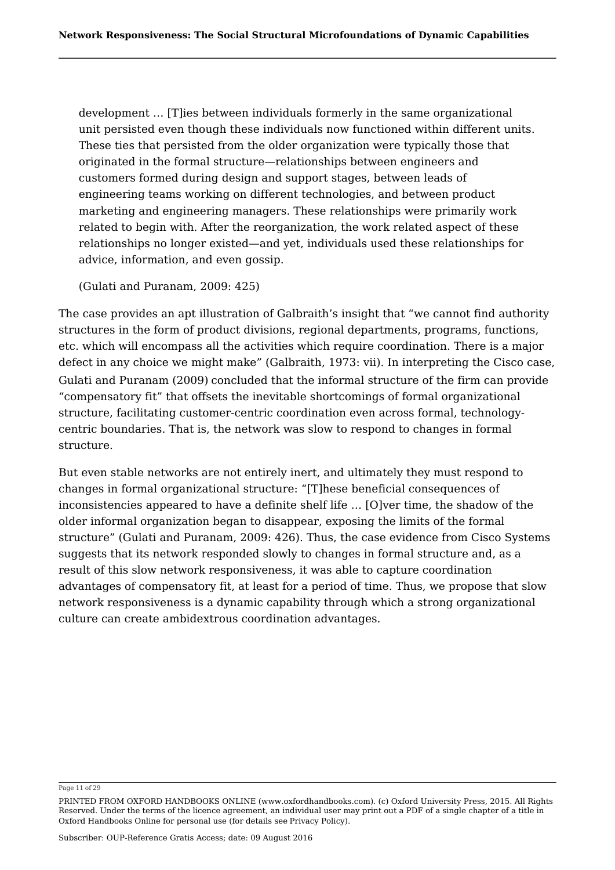development … [T]ies between individuals formerly in the same organizational unit persisted even though these individuals now functioned within different units. These ties that persisted from the older organization were typically those that originated in the formal structure—relationships between engineers and customers formed during design and support stages, between leads of engineering teams working on different technologies, and between product marketing and engineering managers. These relationships were primarily work related to begin with. After the reorganization, the work related aspect of these relationships no longer existed—and yet, individuals used these relationships for advice, information, and even gossip.

(Gulati and Puranam, 2009: 425)

The case provides an apt illustration of Galbraith's insight that "we cannot find authority structures in the form of product divisions, regional departments, programs, functions, etc. which will encompass all the activities which require coordination. There is a major defect in any choice we might make" (Galbraith, 1973: vii). In interpreting the Cisco case, Gulati and Puranam (2009) concluded that the informal structure of the firm can provide "compensatory fit" that offsets the inevitable shortcomings of formal organizational structure, facilitating customer-centric coordination even across formal, technologycentric boundaries. That is, the network was slow to respond to changes in formal structure.

But even stable networks are not entirely inert, and ultimately they must respond to changes in formal organizational structure: "[T]hese beneficial consequences of inconsistencies appeared to have a definite shelf life … [O]ver time, the shadow of the older informal organization began to disappear, exposing the limits of the formal structure" (Gulati and Puranam, 2009: 426). Thus, the case evidence from Cisco Systems suggests that its network responded slowly to changes in formal structure and, as a result of this slow network responsiveness, it was able to capture coordination advantages of compensatory fit, at least for a period of time. Thus, we propose that slow network responsiveness is a dynamic capability through which a strong organizational culture can create ambidextrous coordination advantages.

#### Page 11 of 29

PRINTED FROM OXFORD HANDBOOKS ONLINE (www.oxfordhandbooks.com). (c) Oxford University Press, 2015. All Rights Reserved. Under the terms of the licence agreement, an individual user may print out a PDF of a single chapter of a title in Oxford Handbooks Online for personal use (for details see Privacy Policy).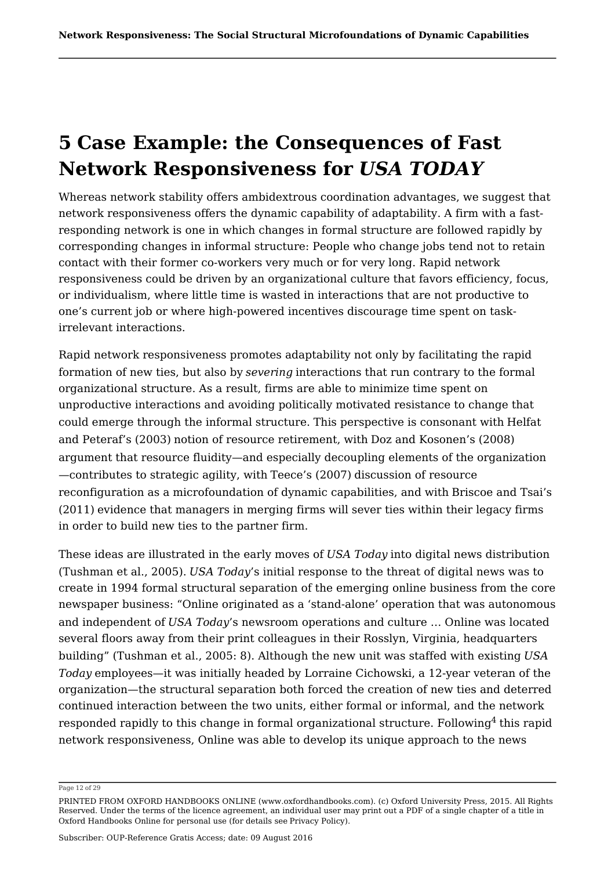# **5 Case Example: the Consequences of Fast Network Responsiveness for** *USA TODAY*

Whereas network stability offers ambidextrous coordination advantages, we suggest that network responsiveness offers the dynamic capability of adaptability. A firm with a fastresponding network is one in which changes in formal structure are followed rapidly by corresponding changes in informal structure: People who change jobs tend not to retain contact with their former co-workers very much or for very long. Rapid network responsiveness could be driven by an organizational culture that favors efficiency, focus, or individualism, where little time is wasted in interactions that are not productive to one's current job or where high-powered incentives discourage time spent on taskirrelevant interactions.

Rapid network responsiveness promotes adaptability not only by facilitating the rapid formation of new ties, but also by *severing* interactions that run contrary to the formal organizational structure. As a result, firms are able to minimize time spent on unproductive interactions and avoiding politically motivated resistance to change that could emerge through the informal structure. This perspective is consonant with Helfat and Peteraf's (2003) notion of resource retirement, with Doz and Kosonen's (2008) argument that resource fluidity—and especially decoupling elements of the organization —contributes to strategic agility, with Teece's (2007) discussion of resource reconfiguration as a microfoundation of dynamic capabilities, and with Briscoe and Tsai's (2011) evidence that managers in merging firms will sever ties within their legacy firms in order to build new ties to the partner firm.

These ideas are illustrated in the early moves of *USA Today* into digital news distribution (Tushman et al., 2005). *USA Today*'s initial response to the threat of digital news was to create in 1994 formal structural separation of the emerging online business from the core newspaper business: "Online originated as a 'stand-alone' operation that was autonomous and independent of *USA Today*'s newsroom operations and culture … Online was located several floors away from their print colleagues in their Rosslyn, Virginia, headquarters building" (Tushman et al., 2005: 8). Although the new unit was staffed with existing *USA Today* employees—it was initially headed by Lorraine Cichowski, a 12-year veteran of the organization—the structural separation both forced the creation of new ties and deterred continued interaction between the two units, either formal or informal, and the network responded rapidly to this change in formal organizational structure. Following $^4$  this rapid network responsiveness, Online was able to develop its unique approach to the news

Page 12 of 29

PRINTED FROM OXFORD HANDBOOKS ONLINE (www.oxfordhandbooks.com). (c) Oxford University Press, 2015. All Rights Reserved. Under the terms of the licence agreement, an individual user may print out a PDF of a single chapter of a title in Oxford Handbooks Online for personal use (for details see Privacy Policy).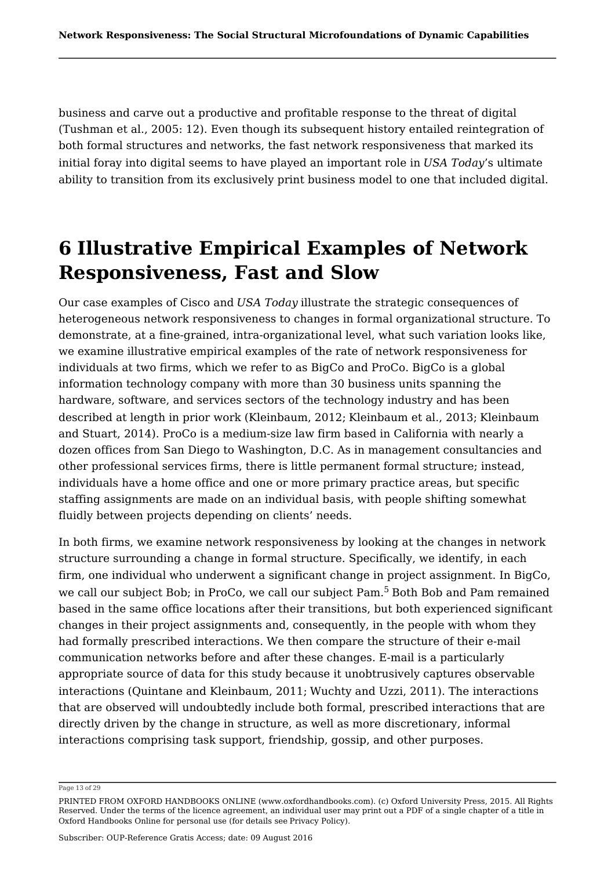business and carve out a productive and profitable response to the threat of digital (Tushman et al., 2005: 12). Even though its subsequent history entailed reintegration of both formal structures and networks, the fast network responsiveness that marked its initial foray into digital seems to have played an important role in *USA Today*'s ultimate ability to transition from its exclusively print business model to one that included digital.

# **6 Illustrative Empirical Examples of Network Responsiveness, Fast and Slow**

Our case examples of Cisco and *USA Today* illustrate the strategic consequences of heterogeneous network responsiveness to changes in formal organizational structure. To demonstrate, at a fine-grained, intra-organizational level, what such variation looks like, we examine illustrative empirical examples of the rate of network responsiveness for individuals at two firms, which we refer to as BigCo and ProCo. BigCo is a global information technology company with more than 30 business units spanning the hardware, software, and services sectors of the technology industry and has been described at length in prior work (Kleinbaum, 2012; Kleinbaum et al., 2013; Kleinbaum and Stuart, 2014). ProCo is a medium-size law firm based in California with nearly a dozen offices from San Diego to Washington, D.C. As in management consultancies and other professional services firms, there is little permanent formal structure; instead, individuals have a home office and one or more primary practice areas, but specific staffing assignments are made on an individual basis, with people shifting somewhat fluidly between projects depending on clients' needs.

In both firms, we examine network responsiveness by looking at the changes in network structure surrounding a change in formal structure. Specifically, we identify, in each firm, one individual who underwent a significant change in project assignment. In BigCo, we call our subject Bob; in ProCo, we call our subject Pam.<sup>5</sup> Both Bob and Pam remained based in the same office locations after their transitions, but both experienced significant changes in their project assignments and, consequently, in the people with whom they had formally prescribed interactions. We then compare the structure of their e-mail communication networks before and after these changes. E-mail is a particularly appropriate source of data for this study because it unobtrusively captures observable interactions (Quintane and Kleinbaum, 2011; Wuchty and Uzzi, 2011). The interactions that are observed will undoubtedly include both formal, prescribed interactions that are directly driven by the change in structure, as well as more discretionary, informal interactions comprising task support, friendship, gossip, and other purposes.

Page 13 of 29

PRINTED FROM OXFORD HANDBOOKS ONLINE (www.oxfordhandbooks.com). (c) Oxford University Press, 2015. All Rights Reserved. Under the terms of the licence agreement, an individual user may print out a PDF of a single chapter of a title in Oxford Handbooks Online for personal use (for details see Privacy Policy).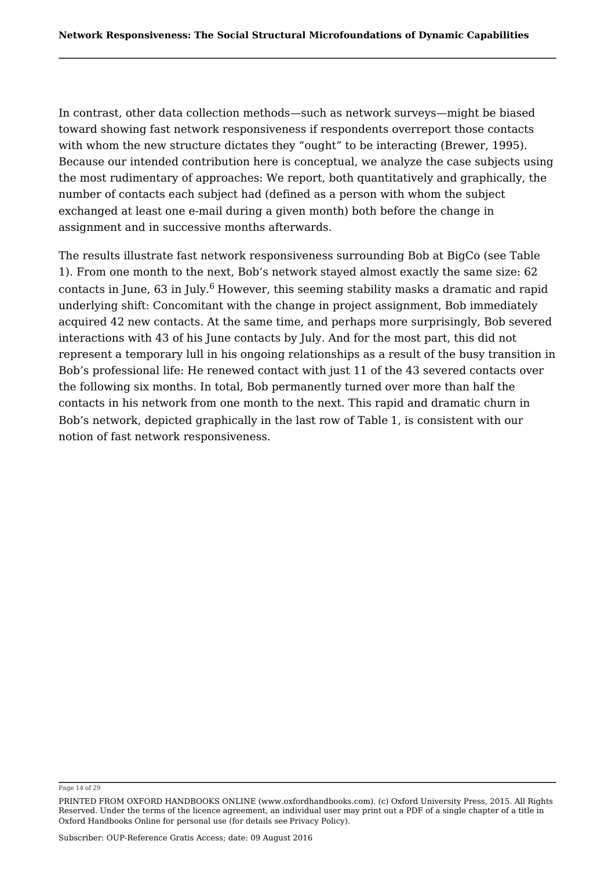In contrast, other data collection methods—such as network surveys—might be biased toward showing fast network responsiveness if respondents overreport those contacts with whom the new structure dictates they "ought" to be interacting (Brewer, 1995). Because our intended contribution here is conceptual, we analyze the case subjects using the most rudimentary of approaches: We report, both quantitatively and graphically, the number of contacts each subject had (defined as a person with whom the subject exchanged at least one e-mail during a given month) both before the change in assignment and in successive months afterwards.

The results illustrate fast network responsiveness surrounding Bob at BigCo (see Table 1). From one month to the next, Bob's network stayed almost exactly the same size: 62 contacts in June, 63 in July. $^6$  However, this seeming stability masks a dramatic and rapid underlying shift: Concomitant with the change in project assignment, Bob immediately acquired 42 new contacts. At the same time, and perhaps more surprisingly, Bob severed interactions with 43 of his June contacts by July. And for the most part, this did not represent a temporary lull in his ongoing relationships as a result of the busy transition in Bob's professional life: He renewed contact with just 11 of the 43 severed contacts over the following six months. In total, Bob permanently turned over more than half the contacts in his network from one month to the next. This rapid and dramatic churn in Bob's network, depicted graphically in the last row of Table 1, is consistent with our notion of fast network responsiveness.

Page 14 of 29

PRINTED FROM OXFORD HANDBOOKS ONLINE (www.oxfordhandbooks.com). (c) Oxford University Press, 2015. All Rights Reserved. Under the terms of the licence agreement, an individual user may print out a PDF of a single chapter of a title in Oxford Handbooks Online for personal use (for details see Privacy Policy).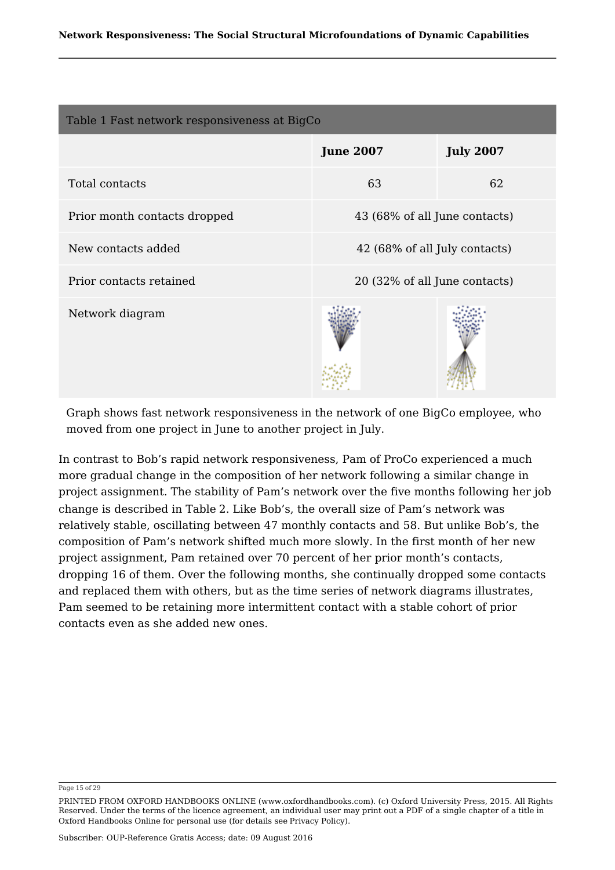| Table 1 Fast network responsiveness at BigCo |                               |                  |  |  |  |  |  |
|----------------------------------------------|-------------------------------|------------------|--|--|--|--|--|
|                                              | <b>June 2007</b>              | <b>July 2007</b> |  |  |  |  |  |
| Total contacts                               | 63                            | 62               |  |  |  |  |  |
| Prior month contacts dropped                 | 43 (68% of all June contacts) |                  |  |  |  |  |  |
| New contacts added                           | 42 (68% of all July contacts) |                  |  |  |  |  |  |
| Prior contacts retained                      | 20 (32% of all June contacts) |                  |  |  |  |  |  |
| Network diagram                              |                               |                  |  |  |  |  |  |

Graph shows fast network responsiveness in the network of one BigCo employee, who moved from one project in June to another project in July.

In contrast to Bob's rapid network responsiveness, Pam of ProCo experienced a much more gradual change in the composition of her network following a similar change in project assignment. The stability of Pam's network over the five months following her job change is described in Table 2. Like Bob's, the overall size of Pam's network was relatively stable, oscillating between 47 monthly contacts and 58. But unlike Bob's, the composition of Pam's network shifted much more slowly. In the first month of her new project assignment, Pam retained over 70 percent of her prior month's contacts, dropping 16 of them. Over the following months, she continually dropped some contacts and replaced them with others, but as the time series of network diagrams illustrates, Pam seemed to be retaining more intermittent contact with a stable cohort of prior contacts even as she added new ones.

#### Page 15 of 29

PRINTED FROM OXFORD HANDBOOKS ONLINE (www.oxfordhandbooks.com). (c) Oxford University Press, 2015. All Rights Reserved. Under the terms of the licence agreement, an individual user may print out a PDF of a single chapter of a title in Oxford Handbooks Online for personal use (for details see Privacy Policy).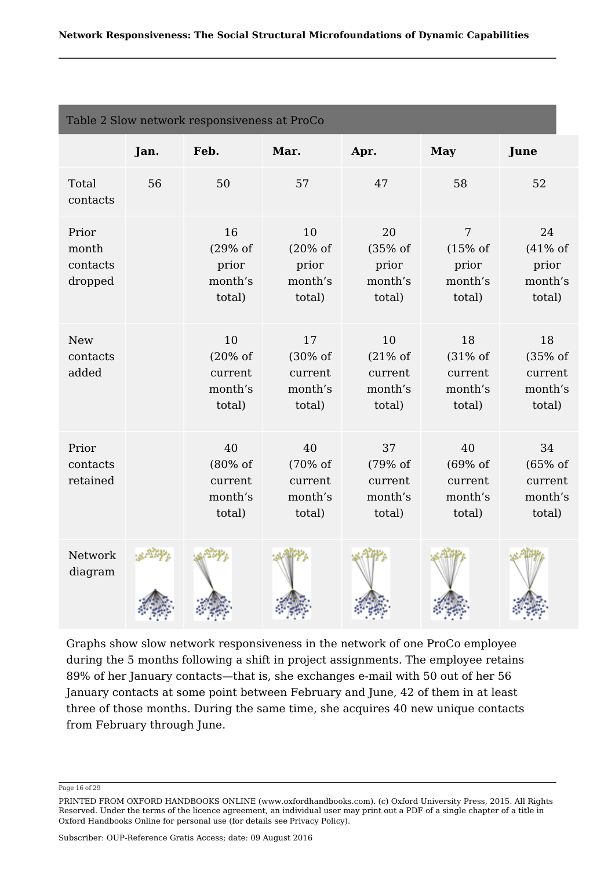| Table 2 Slow network responsiveness at ProCo |      |                                                           |                                                         |                                                           |                                                           |                                                         |
|----------------------------------------------|------|-----------------------------------------------------------|---------------------------------------------------------|-----------------------------------------------------------|-----------------------------------------------------------|---------------------------------------------------------|
|                                              | Jan. | Feb.                                                      | Mar.                                                    | Apr.                                                      | <b>May</b>                                                | June                                                    |
| Total<br>contacts                            | 56   | 50                                                        | 57                                                      | 47                                                        | 58                                                        | 52                                                      |
| Prior<br>month<br>contacts<br>dropped        |      | 16<br>(29% of<br>prior<br>month's<br>total)               | 10<br>$(20\% \text{ of }$<br>prior<br>month's<br>total) | 20<br>(35% of<br>prior<br>month's<br>total)               | 7<br>$(15%$ of<br>prior<br>month's<br>total)              | 24<br>$(41\% \text{ of }$<br>prior<br>month's<br>total) |
| <b>New</b><br>contacts<br>added              |      | 10<br>$(20%$ of<br>current<br>month's<br>total)           | 17<br>(30% of<br>current<br>month's<br>total)           | 10<br>$(21\% \text{ of }$<br>current<br>month's<br>total) | 18<br>$(31\% \text{ of }$<br>current<br>month's<br>total) | 18<br>(35% of<br>current<br>month's<br>total)           |
| Prior<br>contacts<br>retained                |      | 40<br>$(80\% \text{ of }$<br>current<br>month's<br>total) | 40<br>(70% of<br>current<br>month's<br>total)           | 37<br>(79% of<br>current<br>month's<br>total)             | 40<br>(69% of<br>current<br>month's<br>total)             | 34<br>$(65%$ of<br>current<br>month's<br>total)         |
| Network<br>diagram                           |      |                                                           |                                                         |                                                           |                                                           |                                                         |

Graphs show slow network responsiveness in the network of one ProCo employee during the 5 months following a shift in project assignments. The employee retains 89% of her January contacts—that is, she exchanges e-mail with 50 out of her 56 January contacts at some point between February and June, 42 of them in at least three of those months. During the same time, she acquires 40 new unique contacts from February through June.

Page 16 of 29

PRINTED FROM OXFORD HANDBOOKS ONLINE (www.oxfordhandbooks.com). (c) Oxford University Press, 2015. All Rights Reserved. Under the terms of the licence agreement, an individual user may print out a PDF of a single chapter of a title in Oxford Handbooks Online for personal use (for details see Privacy Policy).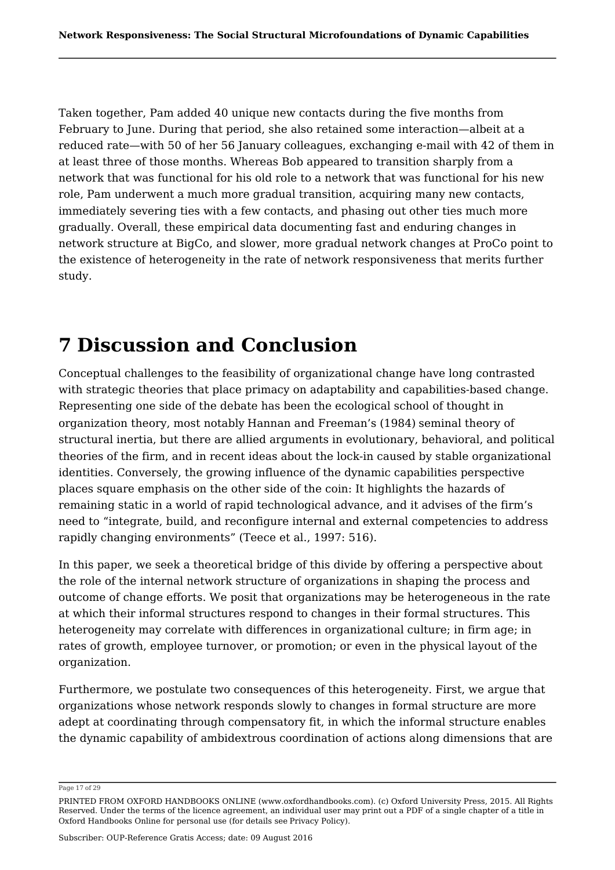Taken together, Pam added 40 unique new contacts during the five months from February to June. During that period, she also retained some interaction—albeit at a reduced rate—with 50 of her 56 January colleagues, exchanging e-mail with 42 of them in at least three of those months. Whereas Bob appeared to transition sharply from a network that was functional for his old role to a network that was functional for his new role, Pam underwent a much more gradual transition, acquiring many new contacts, immediately severing ties with a few contacts, and phasing out other ties much more gradually. Overall, these empirical data documenting fast and enduring changes in network structure at BigCo, and slower, more gradual network changes at ProCo point to the existence of heterogeneity in the rate of network responsiveness that merits further study.

## **7 Discussion and Conclusion**

Conceptual challenges to the feasibility of organizational change have long contrasted with strategic theories that place primacy on adaptability and capabilities-based change. Representing one side of the debate has been the ecological school of thought in organization theory, most notably Hannan and Freeman's (1984) seminal theory of structural inertia, but there are allied arguments in evolutionary, behavioral, and political theories of the firm, and in recent ideas about the lock-in caused by stable organizational identities. Conversely, the growing influence of the dynamic capabilities perspective places square emphasis on the other side of the coin: It highlights the hazards of remaining static in a world of rapid technological advance, and it advises of the firm's need to "integrate, build, and reconfigure internal and external competencies to address rapidly changing environments" (Teece et al., 1997: 516).

In this paper, we seek a theoretical bridge of this divide by offering a perspective about the role of the internal network structure of organizations in shaping the process and outcome of change efforts. We posit that organizations may be heterogeneous in the rate at which their informal structures respond to changes in their formal structures. This heterogeneity may correlate with differences in organizational culture; in firm age; in rates of growth, employee turnover, or promotion; or even in the physical layout of the organization.

Furthermore, we postulate two consequences of this heterogeneity. First, we argue that organizations whose network responds slowly to changes in formal structure are more adept at coordinating through compensatory fit, in which the informal structure enables the dynamic capability of ambidextrous coordination of actions along dimensions that are

Page 17 of 29

PRINTED FROM OXFORD HANDBOOKS ONLINE (www.oxfordhandbooks.com). (c) Oxford University Press, 2015. All Rights Reserved. Under the terms of the licence agreement, an individual user may print out a PDF of a single chapter of a title in Oxford Handbooks Online for personal use (for details see Privacy Policy).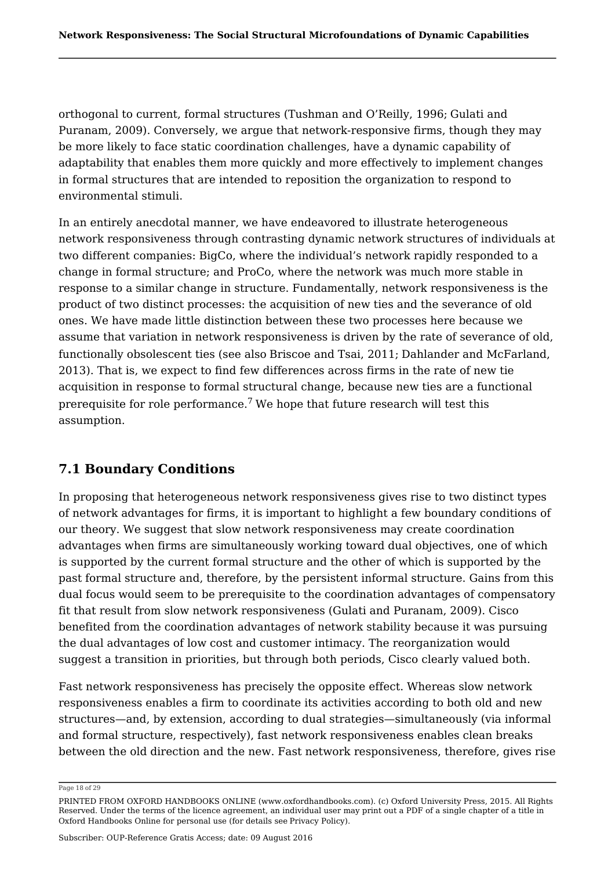orthogonal to current, formal structures (Tushman and O'Reilly, 1996; Gulati and Puranam, 2009). Conversely, we argue that network-responsive firms, though they may be more likely to face static coordination challenges, have a dynamic capability of adaptability that enables them more quickly and more effectively to implement changes in formal structures that are intended to reposition the organization to respond to environmental stimuli.

In an entirely anecdotal manner, we have endeavored to illustrate heterogeneous network responsiveness through contrasting dynamic network structures of individuals at two different companies: BigCo, where the individual's network rapidly responded to a change in formal structure; and ProCo, where the network was much more stable in response to a similar change in structure. Fundamentally, network responsiveness is the product of two distinct processes: the acquisition of new ties and the severance of old ones. We have made little distinction between these two processes here because we assume that variation in network responsiveness is driven by the rate of severance of old, functionally obsolescent ties (see also Briscoe and Tsai, 2011; Dahlander and McFarland, 2013). That is, we expect to find few differences across firms in the rate of new tie acquisition in response to formal structural change, because new ties are a functional prerequisite for role performance. $^7$  We hope that future research will test this assumption.

### **7.1 Boundary Conditions**

In proposing that heterogeneous network responsiveness gives rise to two distinct types of network advantages for firms, it is important to highlight a few boundary conditions of our theory. We suggest that slow network responsiveness may create coordination advantages when firms are simultaneously working toward dual objectives, one of which is supported by the current formal structure and the other of which is supported by the past formal structure and, therefore, by the persistent informal structure. Gains from this dual focus would seem to be prerequisite to the coordination advantages of compensatory fit that result from slow network responsiveness (Gulati and Puranam, 2009). Cisco benefited from the coordination advantages of network stability because it was pursuing the dual advantages of low cost and customer intimacy. The reorganization would suggest a transition in priorities, but through both periods, Cisco clearly valued both.

Fast network responsiveness has precisely the opposite effect. Whereas slow network responsiveness enables a firm to coordinate its activities according to both old and new structures—and, by extension, according to dual strategies—simultaneously (via informal and formal structure, respectively), fast network responsiveness enables clean breaks between the old direction and the new. Fast network responsiveness, therefore, gives rise

Page 18 of 29

PRINTED FROM OXFORD HANDBOOKS ONLINE (www.oxfordhandbooks.com). (c) Oxford University Press, 2015. All Rights Reserved. Under the terms of the licence agreement, an individual user may print out a PDF of a single chapter of a title in Oxford Handbooks Online for personal use (for details see Privacy Policy).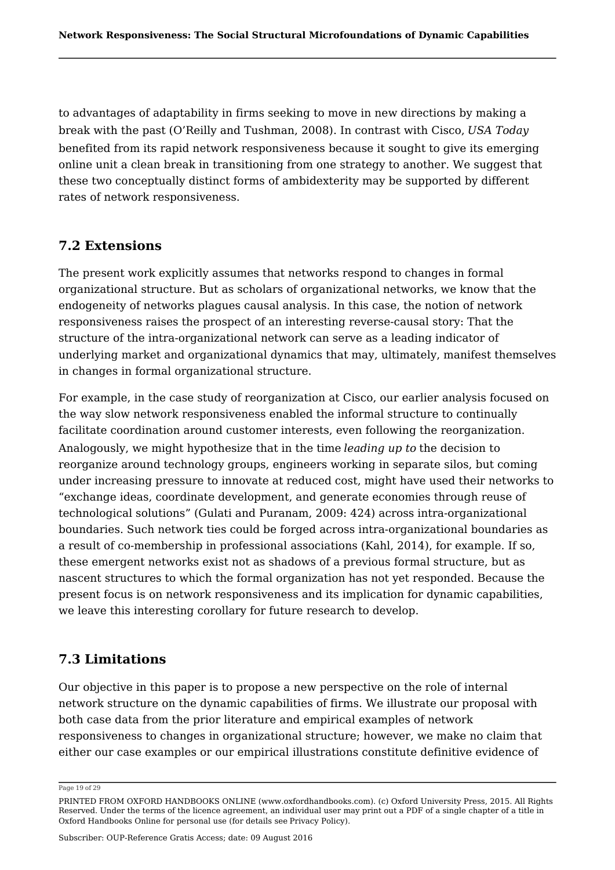to advantages of adaptability in firms seeking to move in new directions by making a break with the past (O'Reilly and Tushman, 2008). In contrast with Cisco, *USA Today* benefited from its rapid network responsiveness because it sought to give its emerging online unit a clean break in transitioning from one strategy to another. We suggest that these two conceptually distinct forms of ambidexterity may be supported by different rates of network responsiveness.

#### **7.2 Extensions**

The present work explicitly assumes that networks respond to changes in formal organizational structure. But as scholars of organizational networks, we know that the endogeneity of networks plagues causal analysis. In this case, the notion of network responsiveness raises the prospect of an interesting reverse-causal story: That the structure of the intra-organizational network can serve as a leading indicator of underlying market and organizational dynamics that may, ultimately, manifest themselves in changes in formal organizational structure.

For example, in the case study of reorganization at Cisco, our earlier analysis focused on the way slow network responsiveness enabled the informal structure to continually facilitate coordination around customer interests, even following the reorganization. Analogously, we might hypothesize that in the time *leading up to* the decision to reorganize around technology groups, engineers working in separate silos, but coming under increasing pressure to innovate at reduced cost, might have used their networks to "exchange ideas, coordinate development, and generate economies through reuse of technological solutions" (Gulati and Puranam, 2009: 424) across intra-organizational boundaries. Such network ties could be forged across intra-organizational boundaries as a result of co-membership in professional associations (Kahl, 2014), for example. If so, these emergent networks exist not as shadows of a previous formal structure, but as nascent structures to which the formal organization has not yet responded. Because the present focus is on network responsiveness and its implication for dynamic capabilities, we leave this interesting corollary for future research to develop.

### **7.3 Limitations**

Our objective in this paper is to propose a new perspective on the role of internal network structure on the dynamic capabilities of firms. We illustrate our proposal with both case data from the prior literature and empirical examples of network responsiveness to changes in organizational structure; however, we make no claim that either our case examples or our empirical illustrations constitute definitive evidence of

Page 19 of 29

PRINTED FROM OXFORD HANDBOOKS ONLINE (www.oxfordhandbooks.com). (c) Oxford University Press, 2015. All Rights Reserved. Under the terms of the licence agreement, an individual user may print out a PDF of a single chapter of a title in Oxford Handbooks Online for personal use (for details see Privacy Policy).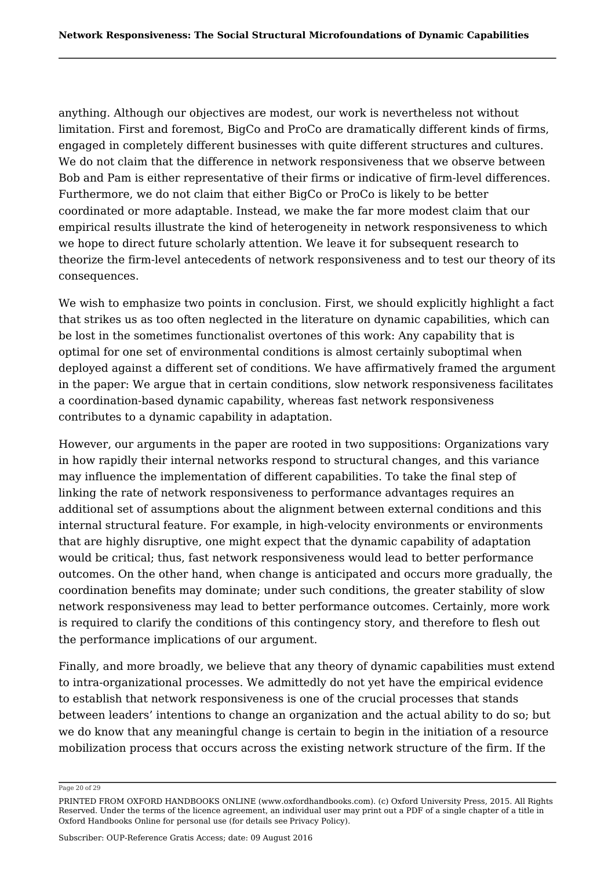anything. Although our objectives are modest, our work is nevertheless not without limitation. First and foremost, BigCo and ProCo are dramatically different kinds of firms, engaged in completely different businesses with quite different structures and cultures. We do not claim that the difference in network responsiveness that we observe between Bob and Pam is either representative of their firms or indicative of firm-level differences. Furthermore, we do not claim that either BigCo or ProCo is likely to be better coordinated or more adaptable. Instead, we make the far more modest claim that our empirical results illustrate the kind of heterogeneity in network responsiveness to which we hope to direct future scholarly attention. We leave it for subsequent research to theorize the firm-level antecedents of network responsiveness and to test our theory of its consequences.

We wish to emphasize two points in conclusion. First, we should explicitly highlight a fact that strikes us as too often neglected in the literature on dynamic capabilities, which can be lost in the sometimes functionalist overtones of this work: Any capability that is optimal for one set of environmental conditions is almost certainly suboptimal when deployed against a different set of conditions. We have affirmatively framed the argument in the paper: We argue that in certain conditions, slow network responsiveness facilitates a coordination-based dynamic capability, whereas fast network responsiveness contributes to a dynamic capability in adaptation.

However, our arguments in the paper are rooted in two suppositions: Organizations vary in how rapidly their internal networks respond to structural changes, and this variance may influence the implementation of different capabilities. To take the final step of linking the rate of network responsiveness to performance advantages requires an additional set of assumptions about the alignment between external conditions and this internal structural feature. For example, in high-velocity environments or environments that are highly disruptive, one might expect that the dynamic capability of adaptation would be critical; thus, fast network responsiveness would lead to better performance outcomes. On the other hand, when change is anticipated and occurs more gradually, the coordination benefits may dominate; under such conditions, the greater stability of slow network responsiveness may lead to better performance outcomes. Certainly, more work is required to clarify the conditions of this contingency story, and therefore to flesh out the performance implications of our argument.

Finally, and more broadly, we believe that any theory of dynamic capabilities must extend to intra-organizational processes. We admittedly do not yet have the empirical evidence to establish that network responsiveness is one of the crucial processes that stands between leaders' intentions to change an organization and the actual ability to do so; but we do know that any meaningful change is certain to begin in the initiation of a resource mobilization process that occurs across the existing network structure of the firm. If the

Page 20 of 29

PRINTED FROM OXFORD HANDBOOKS ONLINE (www.oxfordhandbooks.com). (c) Oxford University Press, 2015. All Rights Reserved. Under the terms of the licence agreement, an individual user may print out a PDF of a single chapter of a title in Oxford Handbooks Online for personal use (for details see Privacy Policy).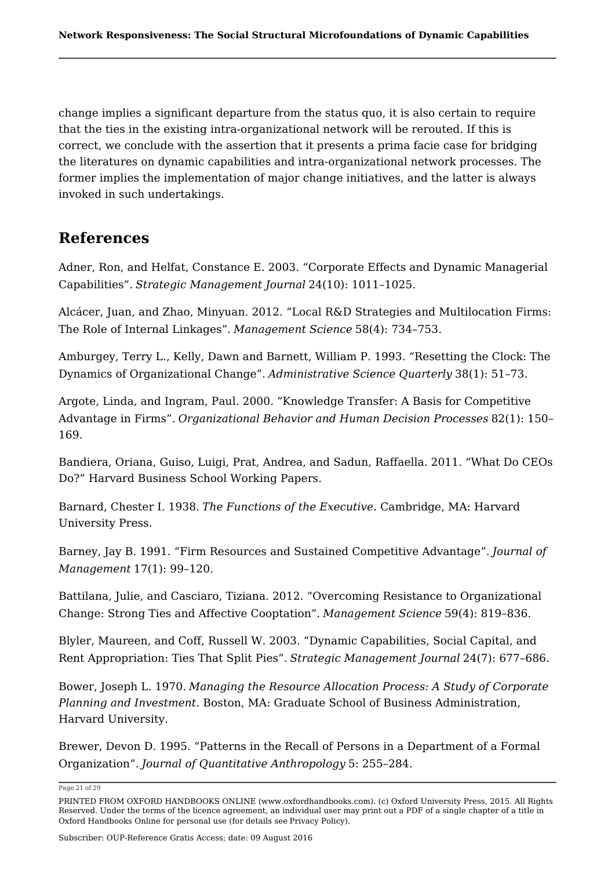change implies a significant departure from the status quo, it is also certain to require that the ties in the existing intra-organizational network will be rerouted. If this is correct, we conclude with the assertion that it presents a prima facie case for bridging the literatures on dynamic capabilities and intra-organizational network processes. The former implies the implementation of major change initiatives, and the latter is always invoked in such undertakings.

### **References**

Adner, Ron, and Helfat, Constance E. 2003. "Corporate Effects and Dynamic Managerial Capabilities". *Strategic Management Journal* 24(10): 1011–1025.

Alcácer, Juan, and Zhao, Minyuan. 2012. "Local R&D Strategies and Multilocation Firms: The Role of Internal Linkages". *Management Science* 58(4): 734–753.

Amburgey, Terry L., Kelly, Dawn and Barnett, William P. 1993. "Resetting the Clock: The Dynamics of Organizational Change". *Administrative Science Quarterly* 38(1): 51–73.

Argote, Linda, and Ingram, Paul. 2000. "Knowledge Transfer: A Basis for Competitive Advantage in Firms". *Organizational Behavior and Human Decision Processes* 82(1): 150– 169.

Bandiera, Oriana, Guiso, Luigi, Prat, Andrea, and Sadun, Raffaella. 2011. "What Do CEOs Do?" Harvard Business School Working Papers.

Barnard, Chester I. 1938. *The Functions of the Executive*. Cambridge, MA: Harvard University Press.

Barney, Jay B. 1991. "Firm Resources and Sustained Competitive Advantage". *Journal of Management* 17(1): 99–120.

Battilana, Julie, and Casciaro, Tiziana. 2012. "Overcoming Resistance to Organizational Change: Strong Ties and Affective Cooptation". *Management Science* 59(4): 819–836.

Blyler, Maureen, and Coff, Russell W. 2003. "Dynamic Capabilities, Social Capital, and Rent Appropriation: Ties That Split Pies". *Strategic Management Journal* 24(7): 677–686.

Bower, Joseph L. 1970. *Managing the Resource Allocation Process: A Study of Corporate Planning and Investment*. Boston, MA: Graduate School of Business Administration, Harvard University.

Brewer, Devon D. 1995. "Patterns in the Recall of Persons in a Department of a Formal Organization". *Journal of Quantitative Anthropology* 5: 255–284.

Page 21 of 29

PRINTED FROM OXFORD HANDBOOKS ONLINE (www.oxfordhandbooks.com). (c) Oxford University Press, 2015. All Rights Reserved. Under the terms of the licence agreement, an individual user may print out a PDF of a single chapter of a title in Oxford Handbooks Online for personal use (for details see Privacy Policy).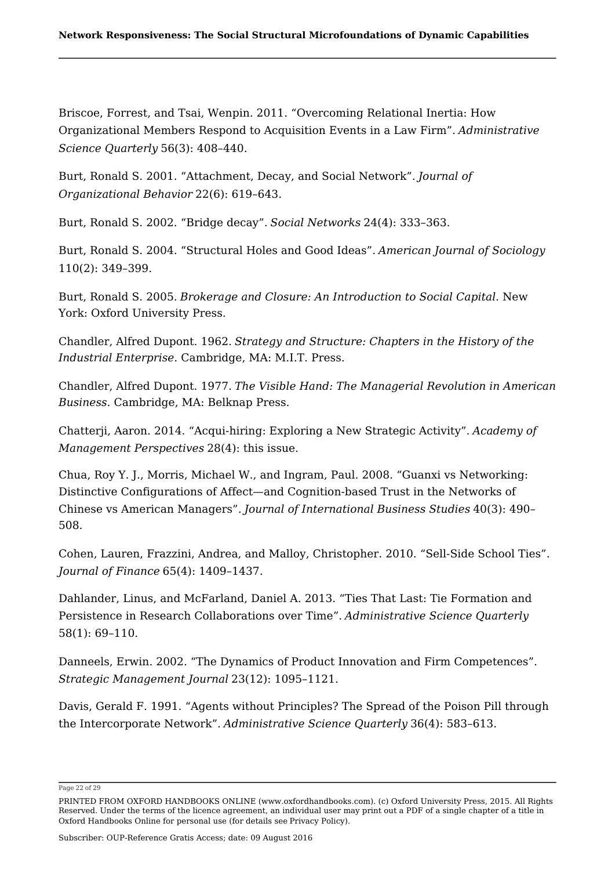Briscoe, Forrest, and Tsai, Wenpin. 2011. "Overcoming Relational Inertia: How Organizational Members Respond to Acquisition Events in a Law Firm". *Administrative Science Quarterly* 56(3): 408–440.

Burt, Ronald S. 2001. "Attachment, Decay, and Social Network". *Journal of Organizational Behavior* 22(6): 619–643.

Burt, Ronald S. 2002. "Bridge decay". *Social Networks* 24(4): 333–363.

Burt, Ronald S. 2004. "Structural Holes and Good Ideas". *American Journal of Sociology* 110(2): 349–399.

Burt, Ronald S. 2005. *Brokerage and Closure: An Introduction to Social Capital*. New York: Oxford University Press.

Chandler, Alfred Dupont. 1962. *Strategy and Structure: Chapters in the History of the Industrial Enterprise*. Cambridge, MA: M.I.T. Press.

Chandler, Alfred Dupont. 1977. *The Visible Hand: The Managerial Revolution in American Business*. Cambridge, MA: Belknap Press.

Chatterji, Aaron. 2014. "Acqui-hiring: Exploring a New Strategic Activity". *Academy of Management Perspectives* 28(4): this issue.

Chua, Roy Y. J., Morris, Michael W., and Ingram, Paul. 2008. "Guanxi vs Networking: Distinctive Configurations of Affect—and Cognition-based Trust in the Networks of Chinese vs American Managers". *Journal of International Business Studies* 40(3): 490– 508.

Cohen, Lauren, Frazzini, Andrea, and Malloy, Christopher. 2010. "Sell-Side School Ties". *Journal of Finance* 65(4): 1409–1437.

Dahlander, Linus, and McFarland, Daniel A. 2013. "Ties That Last: Tie Formation and Persistence in Research Collaborations over Time". *Administrative Science Quarterly* 58(1): 69–110.

Danneels, Erwin. 2002. "The Dynamics of Product Innovation and Firm Competences". *Strategic Management Journal* 23(12): 1095–1121.

Davis, Gerald F. 1991. "Agents without Principles? The Spread of the Poison Pill through the Intercorporate Network". *Administrative Science Quarterly* 36(4): 583–613.

Page 22 of 29

PRINTED FROM OXFORD HANDBOOKS ONLINE (www.oxfordhandbooks.com). (c) Oxford University Press, 2015. All Rights Reserved. Under the terms of the licence agreement, an individual user may print out a PDF of a single chapter of a title in Oxford Handbooks Online for personal use (for details see Privacy Policy).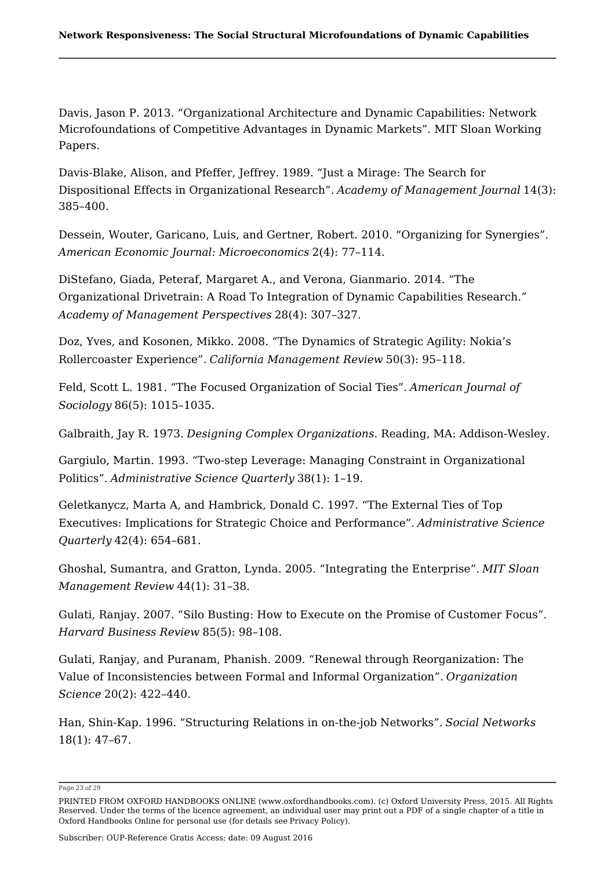Davis, Jason P. 2013. "Organizational Architecture and Dynamic Capabilities: Network Microfoundations of Competitive Advantages in Dynamic Markets". MIT Sloan Working Papers.

Davis-Blake, Alison, and Pfeffer, Jeffrey. 1989. "Just a Mirage: The Search for Dispositional Effects in Organizational Research". *Academy of Management Journal* 14(3): 385–400.

Dessein, Wouter, Garicano, Luis, and Gertner, Robert. 2010. "Organizing for Synergies". *American Economic Journal: Microeconomics* 2(4): 77–114.

DiStefano, Giada, Peteraf, Margaret A., and Verona, Gianmario. 2014. "The Organizational Drivetrain: A Road To Integration of Dynamic Capabilities Research." *Academy of Management Perspectives* 28(4): 307–327.

Doz, Yves, and Kosonen, Mikko. 2008. "The Dynamics of Strategic Agility: Nokia's Rollercoaster Experience". *California Management Review* 50(3): 95–118.

Feld, Scott L. 1981. "The Focused Organization of Social Ties". *American Journal of Sociology* 86(5): 1015–1035.

Galbraith, Jay R. 1973. *Designing Complex Organizations*. Reading, MA: Addison-Wesley.

Gargiulo, Martin. 1993. "Two-step Leverage: Managing Constraint in Organizational Politics". *Administrative Science Quarterly* 38(1): 1–19.

Geletkanycz, Marta A, and Hambrick, Donald C. 1997. "The External Ties of Top Executives: Implications for Strategic Choice and Performance". *Administrative Science Quarterly* 42(4): 654–681.

Ghoshal, Sumantra, and Gratton, Lynda. 2005. "Integrating the Enterprise". *MIT Sloan Management Review* 44(1): 31–38.

Gulati, Ranjay. 2007. "Silo Busting: How to Execute on the Promise of Customer Focus". *Harvard Business Review* 85(5): 98–108.

Gulati, Ranjay, and Puranam, Phanish. 2009. "Renewal through Reorganization: The Value of Inconsistencies between Formal and Informal Organization". *Organization Science* 20(2): 422–440.

Han, Shin-Kap. 1996. "Structuring Relations in on-the-job Networks". *Social Networks* 18(1): 47–67.

Page 23 of 29

PRINTED FROM OXFORD HANDBOOKS ONLINE (www.oxfordhandbooks.com). (c) Oxford University Press, 2015. All Rights Reserved. Under the terms of the licence agreement, an individual user may print out a PDF of a single chapter of a title in Oxford Handbooks Online for personal use (for details see Privacy Policy).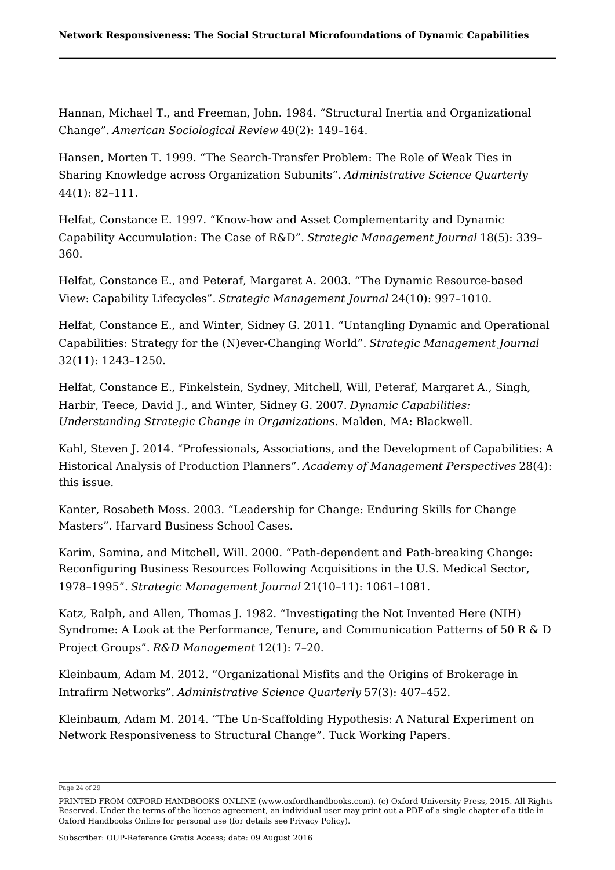Hannan, Michael T., and Freeman, John. 1984. "Structural Inertia and Organizational Change". *American Sociological Review* 49(2): 149–164.

Hansen, Morten T. 1999. "The Search-Transfer Problem: The Role of Weak Ties in Sharing Knowledge across Organization Subunits". *Administrative Science Quarterly* 44(1): 82–111.

Helfat, Constance E. 1997. "Know-how and Asset Complementarity and Dynamic Capability Accumulation: The Case of R&D". *Strategic Management Journal* 18(5): 339– 360.

Helfat, Constance E., and Peteraf, Margaret A. 2003. "The Dynamic Resource-based View: Capability Lifecycles". *Strategic Management Journal* 24(10): 997–1010.

Helfat, Constance E., and Winter, Sidney G. 2011. "Untangling Dynamic and Operational Capabilities: Strategy for the (N)ever-Changing World". *Strategic Management Journal* 32(11): 1243–1250.

Helfat, Constance E., Finkelstein, Sydney, Mitchell, Will, Peteraf, Margaret A., Singh, Harbir, Teece, David J., and Winter, Sidney G. 2007. *Dynamic Capabilities: Understanding Strategic Change in Organizations*. Malden, MA: Blackwell.

Kahl, Steven J. 2014. "Professionals, Associations, and the Development of Capabilities: A Historical Analysis of Production Planners". *Academy of Management Perspectives* 28(4): this issue.

Kanter, Rosabeth Moss. 2003. "Leadership for Change: Enduring Skills for Change Masters". Harvard Business School Cases.

Karim, Samina, and Mitchell, Will. 2000. "Path-dependent and Path-breaking Change: Reconfiguring Business Resources Following Acquisitions in the U.S. Medical Sector, 1978–1995". *Strategic Management Journal* 21(10–11): 1061–1081.

Katz, Ralph, and Allen, Thomas J. 1982. "Investigating the Not Invented Here (NIH) Syndrome: A Look at the Performance, Tenure, and Communication Patterns of 50 R & D Project Groups". *R&D Management* 12(1): 7–20.

Kleinbaum, Adam M. 2012. "Organizational Misfits and the Origins of Brokerage in Intrafirm Networks". *Administrative Science Quarterly* 57(3): 407–452.

Kleinbaum, Adam M. 2014. "The Un-Scaffolding Hypothesis: A Natural Experiment on Network Responsiveness to Structural Change". Tuck Working Papers.

Page 24 of 29

PRINTED FROM OXFORD HANDBOOKS ONLINE (www.oxfordhandbooks.com). (c) Oxford University Press, 2015. All Rights Reserved. Under the terms of the licence agreement, an individual user may print out a PDF of a single chapter of a title in Oxford Handbooks Online for personal use (for details see Privacy Policy).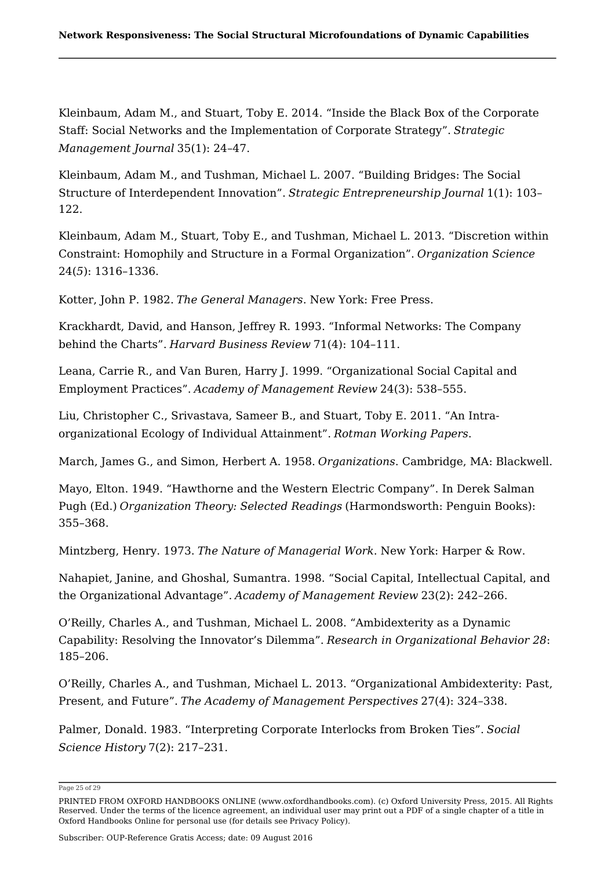Kleinbaum, Adam M., and Stuart, Toby E. 2014. "Inside the Black Box of the Corporate Staff: Social Networks and the Implementation of Corporate Strategy". *Strategic Management Journal* 35(1): 24–47.

Kleinbaum, Adam M., and Tushman, Michael L. 2007. "Building Bridges: The Social Structure of Interdependent Innovation". *Strategic Entrepreneurship Journal* 1(1): 103– 122.

Kleinbaum, Adam M., Stuart, Toby E., and Tushman, Michael L. 2013. "Discretion within Constraint: Homophily and Structure in a Formal Organization". *Organization Science* 24(*5*): 1316–1336.

Kotter, John P. 1982. *The General Managers*. New York: Free Press.

Krackhardt, David, and Hanson, Jeffrey R. 1993. "Informal Networks: The Company behind the Charts". *Harvard Business Review* 71(4): 104–111.

Leana, Carrie R., and Van Buren, Harry J. 1999. "Organizational Social Capital and Employment Practices". *Academy of Management Review* 24(3): 538–555.

Liu, Christopher C., Srivastava, Sameer B., and Stuart, Toby E. 2011. "An Intraorganizational Ecology of Individual Attainment". *Rotman Working Papers*.

March, James G., and Simon, Herbert A. 1958. *Organizations*. Cambridge, MA: Blackwell.

Mayo, Elton. 1949. "Hawthorne and the Western Electric Company". In Derek Salman Pugh (Ed.) *Organization Theory: Selected Readings* (Harmondsworth: Penguin Books): 355–368.

Mintzberg, Henry. 1973. *The Nature of Managerial Work*. New York: Harper & Row.

Nahapiet, Janine, and Ghoshal, Sumantra. 1998. "Social Capital, Intellectual Capital, and the Organizational Advantage". *Academy of Management Review* 23(2): 242–266.

O'Reilly, Charles A., and Tushman, Michael L. 2008. "Ambidexterity as a Dynamic Capability: Resolving the Innovator's Dilemma". *Research in Organizational Behavior 28*: 185–206.

O'Reilly, Charles A., and Tushman, Michael L. 2013. "Organizational Ambidexterity: Past, Present, and Future". *The Academy of Management Perspectives* 27(4): 324–338.

Palmer, Donald. 1983. "Interpreting Corporate Interlocks from Broken Ties". *Social Science History* 7(2): 217–231.

Page 25 of 29

PRINTED FROM OXFORD HANDBOOKS ONLINE (www.oxfordhandbooks.com). (c) Oxford University Press, 2015. All Rights Reserved. Under the terms of the licence agreement, an individual user may print out a PDF of a single chapter of a title in Oxford Handbooks Online for personal use (for details see Privacy Policy).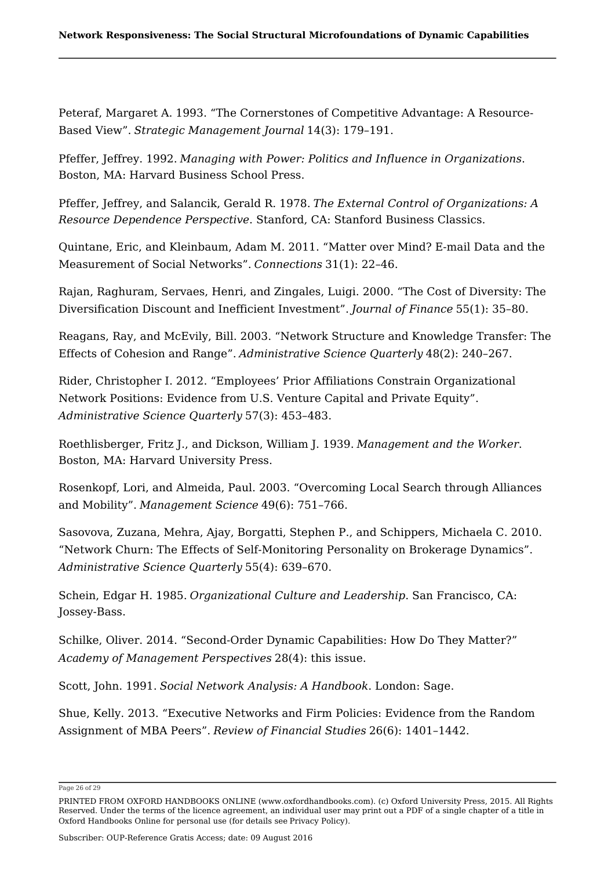Peteraf, Margaret A. 1993. "The Cornerstones of Competitive Advantage: A Resource-Based View". *Strategic Management Journal* 14(3): 179–191.

Pfeffer, Jeffrey. 1992. *Managing with Power: Politics and Influence in Organizations*. Boston, MA: Harvard Business School Press.

Pfeffer, Jeffrey, and Salancik, Gerald R. 1978. *The External Control of Organizations: A Resource Dependence Perspective*. Stanford, CA: Stanford Business Classics.

Quintane, Eric, and Kleinbaum, Adam M. 2011. "Matter over Mind? E-mail Data and the Measurement of Social Networks". *Connections* 31(1): 22–46.

Rajan, Raghuram, Servaes, Henri, and Zingales, Luigi. 2000. "The Cost of Diversity: The Diversification Discount and Inefficient Investment". *Journal of Finance* 55(1): 35–80.

Reagans, Ray, and McEvily, Bill. 2003. "Network Structure and Knowledge Transfer: The Effects of Cohesion and Range". *Administrative Science Quarterly* 48(2): 240–267.

Rider, Christopher I. 2012. "Employees' Prior Affiliations Constrain Organizational Network Positions: Evidence from U.S. Venture Capital and Private Equity". *Administrative Science Quarterly* 57(3): 453–483.

Roethlisberger, Fritz J., and Dickson, William J. 1939. *Management and the Worker*. Boston, MA: Harvard University Press.

Rosenkopf, Lori, and Almeida, Paul. 2003. "Overcoming Local Search through Alliances and Mobility". *Management Science* 49(6): 751–766.

Sasovova, Zuzana, Mehra, Ajay, Borgatti, Stephen P., and Schippers, Michaela C. 2010. "Network Churn: The Effects of Self-Monitoring Personality on Brokerage Dynamics". *Administrative Science Quarterly* 55(4): 639–670.

Schein, Edgar H. 1985. *Organizational Culture and Leadership*. San Francisco, CA: Jossey-Bass.

Schilke, Oliver. 2014. "Second-Order Dynamic Capabilities: How Do They Matter?" *Academy of Management Perspectives* 28(4): this issue.

Scott, John. 1991. *Social Network Analysis: A Handbook*. London: Sage.

Shue, Kelly. 2013. "Executive Networks and Firm Policies: Evidence from the Random Assignment of MBA Peers". *Review of Financial Studies* 26(6): 1401–1442.

Page 26 of 29

PRINTED FROM OXFORD HANDBOOKS ONLINE (www.oxfordhandbooks.com). (c) Oxford University Press, 2015. All Rights Reserved. Under the terms of the licence agreement, an individual user may print out a PDF of a single chapter of a title in Oxford Handbooks Online for personal use (for details see Privacy Policy).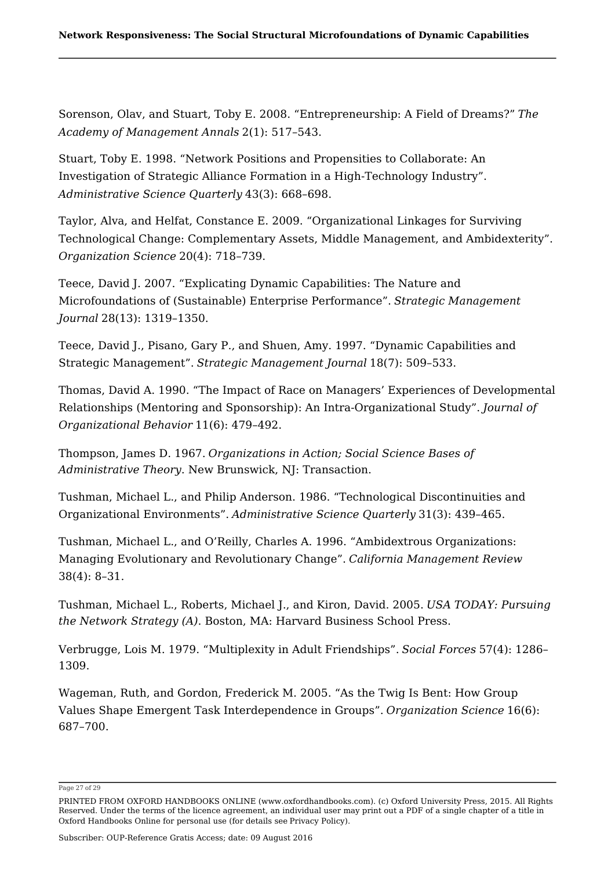Sorenson, Olav, and Stuart, Toby E. 2008. "Entrepreneurship: A Field of Dreams?" *The Academy of Management Annals* 2(1): 517–543.

Stuart, Toby E. 1998. "Network Positions and Propensities to Collaborate: An Investigation of Strategic Alliance Formation in a High-Technology Industry". *Administrative Science Quarterly* 43(3): 668–698.

Taylor, Alva, and Helfat, Constance E. 2009. "Organizational Linkages for Surviving Technological Change: Complementary Assets, Middle Management, and Ambidexterity". *Organization Science* 20(4): 718–739.

Teece, David J. 2007. "Explicating Dynamic Capabilities: The Nature and Microfoundations of (Sustainable) Enterprise Performance". *Strategic Management Journal* 28(13): 1319–1350.

Teece, David J., Pisano, Gary P., and Shuen, Amy. 1997. "Dynamic Capabilities and Strategic Management". *Strategic Management Journal* 18(7): 509–533.

Thomas, David A. 1990. "The Impact of Race on Managers' Experiences of Developmental Relationships (Mentoring and Sponsorship): An Intra-Organizational Study". *Journal of Organizational Behavior* 11(6): 479–492.

Thompson, James D. 1967. *Organizations in Action; Social Science Bases of Administrative Theory*. New Brunswick, NJ: Transaction.

Tushman, Michael L., and Philip Anderson. 1986. "Technological Discontinuities and Organizational Environments". *Administrative Science Quarterly* 31(3): 439–465.

Tushman, Michael L., and O'Reilly, Charles A. 1996. "Ambidextrous Organizations: Managing Evolutionary and Revolutionary Change". *California Management Review* 38(4): 8–31.

Tushman, Michael L., Roberts, Michael J., and Kiron, David. 2005. *USA TODAY: Pursuing the Network Strategy (A)*. Boston, MA: Harvard Business School Press.

Verbrugge, Lois M. 1979. "Multiplexity in Adult Friendships". *Social Forces* 57(4): 1286– 1309.

Wageman, Ruth, and Gordon, Frederick M. 2005. "As the Twig Is Bent: How Group Values Shape Emergent Task Interdependence in Groups". *Organization Science* 16(6): 687–700.

Page 27 of 29

PRINTED FROM OXFORD HANDBOOKS ONLINE (www.oxfordhandbooks.com). (c) Oxford University Press, 2015. All Rights Reserved. Under the terms of the licence agreement, an individual user may print out a PDF of a single chapter of a title in Oxford Handbooks Online for personal use (for details see Privacy Policy).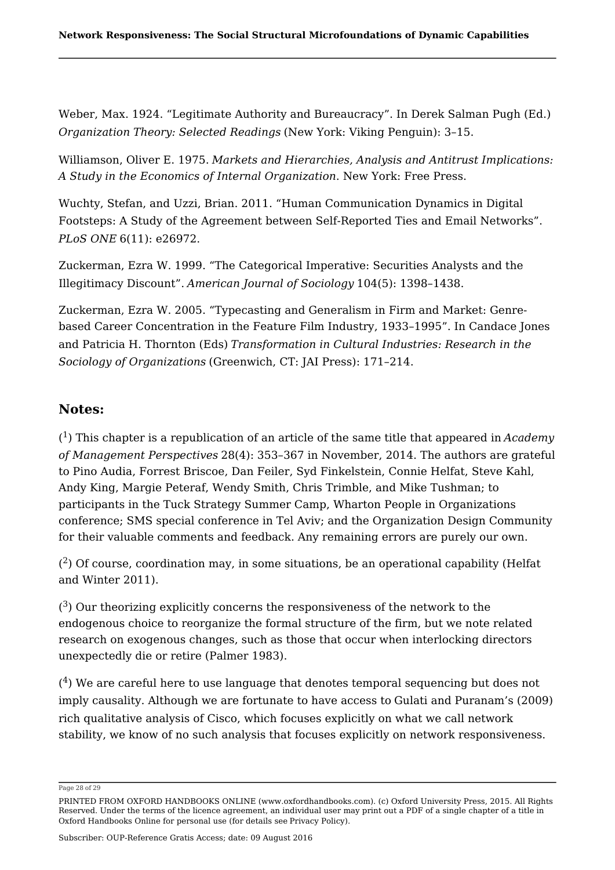Weber, Max. 1924. "Legitimate Authority and Bureaucracy". In Derek Salman Pugh (Ed.) *Organization Theory: Selected Readings* (New York: Viking Penguin): 3–15.

Williamson, Oliver E. 1975. *Markets and Hierarchies, Analysis and Antitrust Implications: A Study in the Economics of Internal Organization*. New York: Free Press.

Wuchty, Stefan, and Uzzi, Brian. 2011. "Human Communication Dynamics in Digital Footsteps: A Study of the Agreement between Self-Reported Ties and Email Networks". *PLoS ONE* 6(11): e26972.

Zuckerman, Ezra W. 1999. "The Categorical Imperative: Securities Analysts and the Illegitimacy Discount". *American Journal of Sociology* 104(5): 1398–1438.

Zuckerman, Ezra W. 2005. "Typecasting and Generalism in Firm and Market: Genrebased Career Concentration in the Feature Film Industry, 1933–1995". In Candace Jones and Patricia H. Thornton (Eds) *Transformation in Cultural Industries: Research in the Sociology of Organizations* (Greenwich, CT: JAI Press): 171–214.

### **Notes:**

 $(^1)$  This chapter is a republication of an article of the same title that appeared in  $Academy$ *of Management Perspectives* 28(4): 353–367 in November, 2014. The authors are grateful to Pino Audia, Forrest Briscoe, Dan Feiler, Syd Finkelstein, Connie Helfat, Steve Kahl, Andy King, Margie Peteraf, Wendy Smith, Chris Trimble, and Mike Tushman; to participants in the Tuck Strategy Summer Camp, Wharton People in Organizations conference; SMS special conference in Tel Aviv; and the Organization Design Community for their valuable comments and feedback. Any remaining errors are purely our own.

 $(^2)$  Of course, coordination may, in some situations, be an operational capability (Helfat and Winter 2011).

 $(3)$  Our theorizing explicitly concerns the responsiveness of the network to the endogenous choice to reorganize the formal structure of the firm, but we note related research on exogenous changes, such as those that occur when interlocking directors unexpectedly die or retire (Palmer 1983).

 $( ^{4})$  We are careful here to use language that denotes temporal sequencing but does not imply causality. Although we are fortunate to have access to Gulati and Puranam's (2009) rich qualitative analysis of Cisco, which focuses explicitly on what we call network stability, we know of no such analysis that focuses explicitly on network responsiveness.

Page 28 of 29

PRINTED FROM OXFORD HANDBOOKS ONLINE (www.oxfordhandbooks.com). (c) Oxford University Press, 2015. All Rights Reserved. Under the terms of the licence agreement, an individual user may print out a PDF of a single chapter of a title in Oxford Handbooks Online for personal use (for details see Privacy Policy).